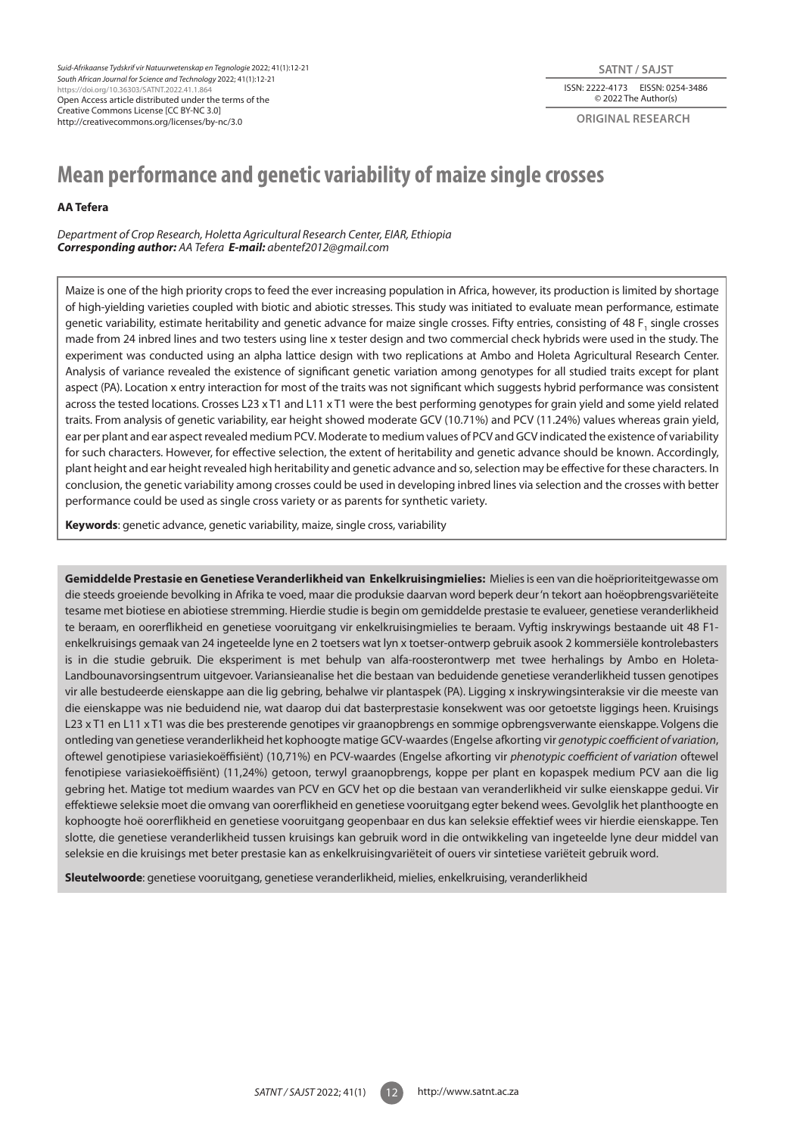*Suid-Afrikaanse Tydskrif vir Natuurwetenskap en Tegnologie* 2022; 41(1):12-21 *South African Journal for Science and Technology* 2022; 41(1):12-21 https://doi.org/10.36303/SATNT.2022.41.1.864 Open Access article distributed under the terms of the Creative Commons License [CC BY-NC 3.0] http://creativecommons.org/licenses/by-nc/3.0

#### ISSN: 2222-4173 EISSN: 0254-3486 © 2022 The Author(s) **SATNT / SAJST**

**original research**

# **Mean performance and genetic variability of maize single crosses**

# **AA Tefera**

*Department of Crop Research, Holetta Agricultural Research Center, EIAR, Ethiopia Corresponding author: AA Tefera E-mail: abentef2012@gmail.com* 

Maize is one of the high priority crops to feed the ever increasing population in Africa, however, its production is limited by shortage of high-yielding varieties coupled with biotic and abiotic stresses. This study was initiated to evaluate mean performance, estimate genetic variability, estimate heritability and genetic advance for maize single crosses. Fifty entries, consisting of 48 F<sub>1</sub> single crosses made from 24 inbred lines and two testers using line x tester design and two commercial check hybrids were used in the study. The experiment was conducted using an alpha lattice design with two replications at Ambo and Holeta Agricultural Research Center. Analysis of variance revealed the existence of significant genetic variation among genotypes for all studied traits except for plant aspect (PA). Location x entry interaction for most of the traits was not significant which suggests hybrid performance was consistent across the tested locations. Crosses L23 x T1 and L11 x T1 were the best performing genotypes for grain yield and some yield related traits. From analysis of genetic variability, ear height showed moderate GCV (10.71%) and PCV (11.24%) values whereas grain yield, ear per plant and ear aspect revealed medium PCV. Moderate to medium values of PCV and GCV indicated the existence of variability for such characters. However, for effective selection, the extent of heritability and genetic advance should be known. Accordingly, plant height and ear height revealed high heritability and genetic advance and so, selection may be effective for these characters. In conclusion, the genetic variability among crosses could be used in developing inbred lines via selection and the crosses with better performance could be used as single cross variety or as parents for synthetic variety.

**Keywords**: genetic advance, genetic variability, maize, single cross, variability

**Gemiddelde Prestasie en Genetiese Veranderlikheid van Enkelkruisingmielies:** Mielies is een van die hoëprioriteitgewasse om die steeds groeiende bevolking in Afrika te voed, maar die produksie daarvan word beperk deur 'n tekort aan hoëopbrengsvariëteite tesame met biotiese en abiotiese stremming. Hierdie studie is begin om gemiddelde prestasie te evalueer, genetiese veranderlikheid te beraam, en oorerflikheid en genetiese vooruitgang vir enkelkruisingmielies te beraam. Vyftig inskrywings bestaande uit 48 F1 enkelkruisings gemaak van 24 ingeteelde lyne en 2 toetsers wat lyn x toetser-ontwerp gebruik asook 2 kommersiële kontrolebasters is in die studie gebruik. Die eksperiment is met behulp van alfa-roosterontwerp met twee herhalings by Ambo en Holeta-Landbounavorsingsentrum uitgevoer. Variansieanalise het die bestaan van beduidende genetiese veranderlikheid tussen genotipes vir alle bestudeerde eienskappe aan die lig gebring, behalwe vir plantaspek (PA). Ligging x inskrywingsinteraksie vir die meeste van die eienskappe was nie beduidend nie, wat daarop dui dat basterprestasie konsekwent was oor getoetste liggings heen. Kruisings L23 x T1 en L11 x T1 was die bes presterende genotipes vir graanopbrengs en sommige opbrengsverwante eienskappe. Volgens die ontleding van genetiese veranderlikheid het kophoogte matige GCV-waardes (Engelse afkorting vir *genotypic coefficient of variation*, oftewel genotipiese variasiekoëffisiënt) (10,71%) en PCV-waardes (Engelse afkorting vir *phenotypic coefficient of variation* oftewel fenotipiese variasiekoëffisiënt) (11,24%) getoon, terwyl graanopbrengs, koppe per plant en kopaspek medium PCV aan die lig gebring het. Matige tot medium waardes van PCV en GCV het op die bestaan van veranderlikheid vir sulke eienskappe gedui. Vir effektiewe seleksie moet die omvang van oorerflikheid en genetiese vooruitgang egter bekend wees. Gevolglik het planthoogte en kophoogte hoë oorerflikheid en genetiese vooruitgang geopenbaar en dus kan seleksie effektief wees vir hierdie eienskappe. Ten slotte, die genetiese veranderlikheid tussen kruisings kan gebruik word in die ontwikkeling van ingeteelde lyne deur middel van seleksie en die kruisings met beter prestasie kan as enkelkruisingvariëteit of ouers vir sintetiese variëteit gebruik word.

**Sleutelwoorde**: genetiese vooruitgang, genetiese veranderlikheid, mielies, enkelkruising, veranderlikheid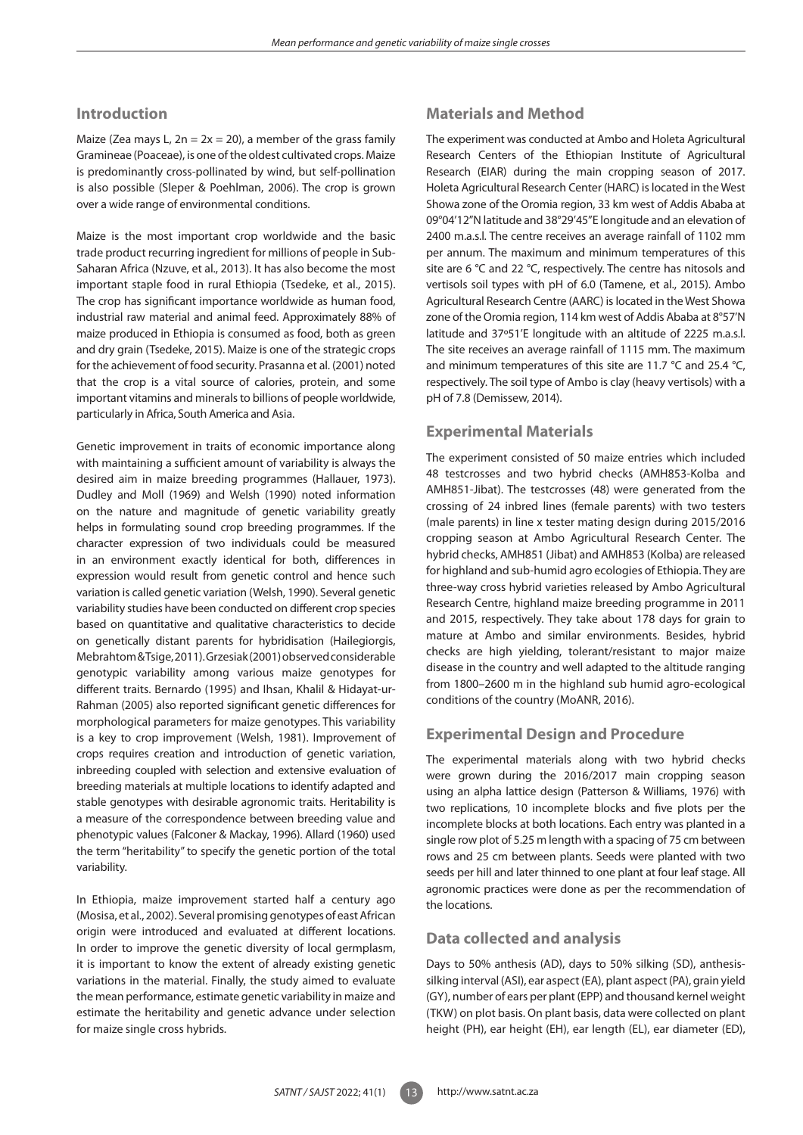# **Introduction**

Maize (Zea mays L,  $2n = 2x = 20$ ), a member of the grass family Gramineae (Poaceae), is one of the oldest cultivated crops. Maize is predominantly cross-pollinated by wind, but self-pollination is also possible (Sleper & Poehlman, 2006). The crop is grown over a wide range of environmental conditions.

Maize is the most important crop worldwide and the basic trade product recurring ingredient for millions of people in Sub-Saharan Africa (Nzuve, et al., 2013). It has also become the most important staple food in rural Ethiopia (Tsedeke, et al., 2015). The crop has significant importance worldwide as human food, industrial raw material and animal feed. Approximately 88% of maize produced in Ethiopia is consumed as food, both as green and dry grain (Tsedeke, 2015). Maize is one of the strategic crops for the achievement of food security. Prasanna et al. (2001) noted that the crop is a vital source of calories, protein, and some important vitamins and minerals to billions of people worldwide, particularly in Africa, South America and Asia.

Genetic improvement in traits of economic importance along with maintaining a sufficient amount of variability is always the desired aim in maize breeding programmes (Hallauer, 1973). Dudley and Moll (1969) and Welsh (1990) noted information on the nature and magnitude of genetic variability greatly helps in formulating sound crop breeding programmes. If the character expression of two individuals could be measured in an environment exactly identical for both, differences in expression would result from genetic control and hence such variation is called genetic variation (Welsh, 1990). Several genetic variability studies have been conducted on different crop species based on quantitative and qualitative characteristics to decide on genetically distant parents for hybridisation (Hailegiorgis, Mebrahtom & Tsige, 2011). Grzesiak (2001) observed considerable genotypic variability among various maize genotypes for different traits. Bernardo (1995) and Ihsan, Khalil & Hidayat-ur-Rahman (2005) also reported significant genetic differences for morphological parameters for maize genotypes. This variability is a key to crop improvement (Welsh, 1981). Improvement of crops requires creation and introduction of genetic variation, inbreeding coupled with selection and extensive evaluation of breeding materials at multiple locations to identify adapted and stable genotypes with desirable agronomic traits. Heritability is a measure of the correspondence between breeding value and phenotypic values (Falconer & Mackay, 1996). Allard (1960) used the term "heritability" to specify the genetic portion of the total variability.

In Ethiopia, maize improvement started half a century ago (Mosisa, et al., 2002). Several promising genotypes of east African origin were introduced and evaluated at different locations. In order to improve the genetic diversity of local germplasm, it is important to know the extent of already existing genetic variations in the material. Finally, the study aimed to evaluate the mean performance, estimate genetic variability in maize and estimate the heritability and genetic advance under selection for maize single cross hybrids.

# **Materials and Method**

The experiment was conducted at Ambo and Holeta Agricultural Research Centers of the Ethiopian Institute of Agricultural Research (EIAR) during the main cropping season of 2017. Holeta Agricultural Research Center (HARC) is located in the West Showa zone of the Oromia region, 33 km west of Addis Ababa at 09°04'12"N latitude and 38°29'45"E longitude and an elevation of 2400 m.a.s.l. The centre receives an average rainfall of 1102 mm per annum. The maximum and minimum temperatures of this site are 6 °C and 22 °C, respectively. The centre has nitosols and vertisols soil types with pH of 6.0 (Tamene, et al., 2015). Ambo Agricultural Research Centre (AARC) is located in the West Showa zone of the Oromia region, 114 km west of Addis Ababa at 8°57'N latitude and 37º51'E longitude with an altitude of 2225 m.a.s.l. The site receives an average rainfall of 1115 mm. The maximum and minimum temperatures of this site are 11.7 °C and 25.4 °C, respectively. The soil type of Ambo is clay (heavy vertisols) with a pH of 7.8 (Demissew, 2014).

# **Experimental Materials**

The experiment consisted of 50 maize entries which included 48 testcrosses and two hybrid checks (AMH853-Kolba and AMH851-Jibat). The testcrosses (48) were generated from the crossing of 24 inbred lines (female parents) with two testers (male parents) in line x tester mating design during 2015/2016 cropping season at Ambo Agricultural Research Center. The hybrid checks, AMH851 (Jibat) and AMH853 (Kolba) are released for highland and sub-humid agro ecologies of Ethiopia. They are three-way cross hybrid varieties released by Ambo Agricultural Research Centre, highland maize breeding programme in 2011 and 2015, respectively. They take about 178 days for grain to mature at Ambo and similar environments. Besides, hybrid checks are high yielding, tolerant/resistant to major maize disease in the country and well adapted to the altitude ranging from 1800–2600 m in the highland sub humid agro-ecological conditions of the country (MoANR, 2016).

# **Experimental Design and Procedure**

The experimental materials along with two hybrid checks were grown during the 2016/2017 main cropping season using an alpha lattice design (Patterson & Williams, 1976) with two replications, 10 incomplete blocks and five plots per the incomplete blocks at both locations. Each entry was planted in a single row plot of 5.25 m length with a spacing of 75 cm between rows and 25 cm between plants. Seeds were planted with two seeds per hill and later thinned to one plant at four leaf stage. All agronomic practices were done as per the recommendation of the locations.

# **Data collected and analysis**

Days to 50% anthesis (AD), days to 50% silking (SD), anthesissilking interval (ASI), ear aspect (EA), plant aspect (PA), grain yield (GY), number of ears per plant (EPP) and thousand kernel weight (TKW) on plot basis. On plant basis, data were collected on plant height (PH), ear height (EH), ear length (EL), ear diameter (ED),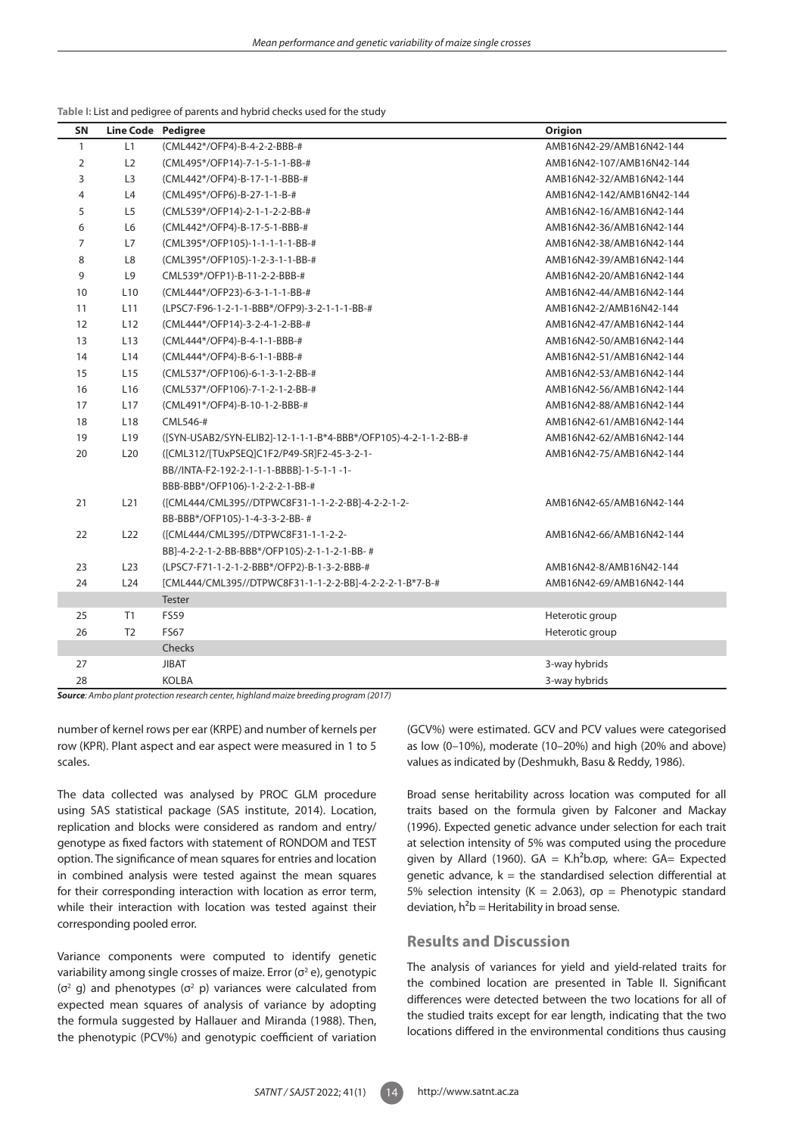#### **Table I:** List and pedigree of parents and hybrid checks used for the study

| SN           | Line Code Pedigree |                                                                 | <b>Origion</b>            |
|--------------|--------------------|-----------------------------------------------------------------|---------------------------|
| $\mathbf{1}$ | L1                 | (CML442*/OFP4)-B-4-2-2-BBB-#                                    | AMB16N42-29/AMB16N42-144  |
| 2            | L2                 | (CML495*/OFP14)-7-1-5-1-1-BB-#                                  | AMB16N42-107/AMB16N42-144 |
| 3            | L <sub>3</sub>     | (CML442*/OFP4)-B-17-1-1-BBB-#                                   | AMB16N42-32/AMB16N42-144  |
| 4            | L4                 | (CML495*/OFP6)-B-27-1-1-B-#                                     | AMB16N42-142/AMB16N42-144 |
| 5            | L <sub>5</sub>     | (CML539*/OFP14)-2-1-1-2-2-BB-#                                  | AMB16N42-16/AMB16N42-144  |
| 6            | L6                 | (CML442*/OFP4)-B-17-5-1-BBB-#                                   | AMB16N42-36/AMB16N42-144  |
| 7            | L7                 | (CML395*/OFP105)-1-1-1-1-1-BB-#                                 | AMB16N42-38/AMB16N42-144  |
| 8            | L8                 | (CML395*/OFP105)-1-2-3-1-1-BB-#                                 | AMB16N42-39/AMB16N42-144  |
| 9            | L <sub>9</sub>     | CML539*/OFP1)-B-11-2-2-BBB-#                                    | AMB16N42-20/AMB16N42-144  |
| 10           | L <sub>10</sub>    | (CML444*/OFP23)-6-3-1-1-1-BB-#                                  | AMB16N42-44/AMB16N42-144  |
| 11           | L11                | (LPSC7-F96-1-2-1-1-BBB*/OFP9)-3-2-1-1-1-BB-#                    | AMB16N42-2/AMB16N42-144   |
| 12           | L12                | (CML444*/OFP14)-3-2-4-1-2-BB-#                                  | AMB16N42-47/AMB16N42-144  |
| 13           | L13                | (CML444*/OFP4)-B-4-1-1-BBB-#                                    | AMB16N42-50/AMB16N42-144  |
| 14           | L14                | (CML444*/OFP4)-B-6-1-1-BBB-#                                    | AMB16N42-51/AMB16N42-144  |
| 15           | L <sub>15</sub>    | (CML537*/OFP106)-6-1-3-1-2-BB-#                                 | AMB16N42-53/AMB16N42-144  |
| 16           | L <sub>16</sub>    | (CML537*/OFP106)-7-1-2-1-2-BB-#                                 | AMB16N42-56/AMB16N42-144  |
| 17           | L17                | (CML491*/OFP4)-B-10-1-2-BBB-#                                   | AMB16N42-88/AMB16N42-144  |
| 18           | L <sub>18</sub>    | CML546-#                                                        | AMB16N42-61/AMB16N42-144  |
| 19           | L <sub>19</sub>    | ([SYN-USAB2/SYN-ELIB2]-12-1-1-1-B*4-BBB*/OFP105)-4-2-1-1-2-BB-# | AMB16N42-62/AMB16N42-144  |
| 20           | L20                | ([CML312/[TUxPSEQ]C1F2/P49-SR]F2-45-3-2-1-                      | AMB16N42-75/AMB16N42-144  |
|              |                    | BB//INTA-F2-192-2-1-1-1-BBBB]-1-5-1-1-1-                        |                           |
|              |                    | BBB-BBB*/OFP106)-1-2-2-2-1-BB-#                                 |                           |
| 21           | L21                | ([CML444/CML395//DTPWC8F31-1-1-2-2-BB]-4-2-2-1-2-               | AMB16N42-65/AMB16N42-144  |
|              |                    | BB-BBB*/OFP105)-1-4-3-3-2-BB-#                                  |                           |
| 22           | L22                | ([CML444/CML395//DTPWC8F31-1-1-2-2-                             | AMB16N42-66/AMB16N42-144  |
|              |                    | BB]-4-2-2-1-2-BB-BBB*/OFP105)-2-1-1-2-1-BB-#                    |                           |
| 23           | L <sub>23</sub>    | (LPSC7-F71-1-2-1-2-BBB*/OFP2)-B-1-3-2-BBB-#                     | AMB16N42-8/AMB16N42-144   |
| 24           | L24                | [CML444/CML395//DTPWC8F31-1-1-2-2-BB]-4-2-2-2-1-B*7-B-#         | AMB16N42-69/AMB16N42-144  |
|              |                    | <b>Tester</b>                                                   |                           |
| 25           | T1                 | <b>FS59</b>                                                     | Heterotic group           |
| 26           | T <sub>2</sub>     | <b>FS67</b>                                                     | Heterotic group           |
|              |                    | Checks                                                          |                           |
| 27           |                    | <b>JIBAT</b>                                                    | 3-way hybrids             |
| 28           |                    | <b>KOLBA</b>                                                    | 3-way hybrids             |

*Source: Ambo plant protection research center, highland maize breeding program (2017)*

number of kernel rows per ear (KRPE) and number of kernels per row (KPR). Plant aspect and ear aspect were measured in 1 to 5 scales.

The data collected was analysed by PROC GLM procedure using SAS statistical package (SAS institute, 2014). Location, replication and blocks were considered as random and entry/ genotype as fixed factors with statement of RONDOM and TEST option. The significance of mean squares for entries and location in combined analysis were tested against the mean squares for their corresponding interaction with location as error term, while their interaction with location was tested against their corresponding pooled error.

Variance components were computed to identify genetic variability among single crosses of maize. Error ( $\sigma^2$ e), genotypic ( $\sigma$ <sup>2</sup> g) and phenotypes ( $\sigma$ <sup>2</sup> p) variances were calculated from expected mean squares of analysis of variance by adopting the formula suggested by Hallauer and Miranda (1988). Then, the phenotypic (PCV%) and genotypic coefficient of variation

(GCV%) were estimated. GCV and PCV values were categorised as low (0–10%), moderate (10–20%) and high (20% and above) values as indicated by (Deshmukh, Basu & Reddy, 1986).

Broad sense heritability across location was computed for all traits based on the formula given by Falconer and Mackay (1996). Expected genetic advance under selection for each trait at selection intensity of 5% was computed using the procedure given by Allard (1960).  $GA = K.h^2b$ .σp, where:  $GA = Expected$ genetic advance,  $k =$  the standardised selection differential at 5% selection intensity (K = 2.063), σp = Phenotypic standard deviation,  $h^2b$  = Heritability in broad sense.

# **Results and Discussion**

The analysis of variances for yield and yield-related traits for the combined location are presented in Table II. Significant differences were detected between the two locations for all of the studied traits except for ear length, indicating that the two locations differed in the environmental conditions thus causing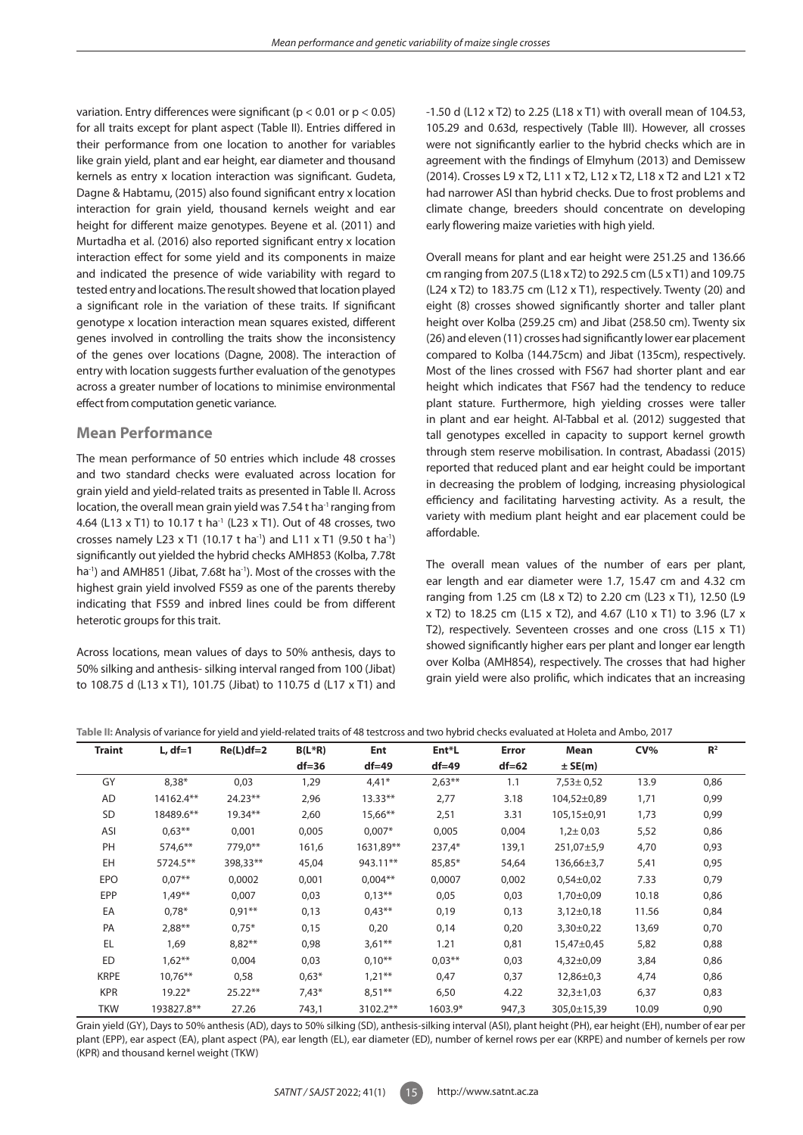variation. Entry differences were significant ( $p < 0.01$  or  $p < 0.05$ ) for all traits except for plant aspect (Table II). Entries differed in their performance from one location to another for variables like grain yield, plant and ear height, ear diameter and thousand kernels as entry x location interaction was significant. Gudeta, Dagne & Habtamu, (2015) also found significant entry x location interaction for grain yield, thousand kernels weight and ear height for different maize genotypes. Beyene et al. (2011) and Murtadha et al. (2016) also reported significant entry x location interaction effect for some yield and its components in maize and indicated the presence of wide variability with regard to tested entry and locations. The result showed that location played a significant role in the variation of these traits. If significant genotype x location interaction mean squares existed, different genes involved in controlling the traits show the inconsistency of the genes over locations (Dagne, 2008). The interaction of entry with location suggests further evaluation of the genotypes across a greater number of locations to minimise environmental effect from computation genetic variance.

# **Mean Performance**

The mean performance of 50 entries which include 48 crosses and two standard checks were evaluated across location for grain yield and yield-related traits as presented in Table II. Across location, the overall mean grain yield was 7.54 t ha<sup>-1</sup> ranging from 4.64 (L13 x T1) to 10.17 t ha<sup>-1</sup> (L23 x T1). Out of 48 crosses, two crosses namely L23 x T1 (10.17 t ha<sup>-1</sup>) and L11 x T1 (9.50 t ha<sup>-1</sup>) significantly out yielded the hybrid checks AMH853 (Kolba, 7.78t ha<sup>-1</sup>) and AMH851 (Jibat, 7.68t ha<sup>-1</sup>). Most of the crosses with the highest grain yield involved FS59 as one of the parents thereby indicating that FS59 and inbred lines could be from different heterotic groups for this trait.

Across locations, mean values of days to 50% anthesis, days to 50% silking and anthesis- silking interval ranged from 100 (Jibat) to 108.75 d (L13 x T1), 101.75 (Jibat) to 110.75 d (L17 x T1) and -1.50 d (L12 x T2) to 2.25 (L18 x T1) with overall mean of 104.53, 105.29 and 0.63d, respectively (Table III). However, all crosses were not significantly earlier to the hybrid checks which are in agreement with the findings of Elmyhum (2013) and Demissew (2014). Crosses L9 x T2, L11 x T2, L12 x T2, L18 x T2 and L21 x T2 had narrower ASI than hybrid checks. Due to frost problems and climate change, breeders should concentrate on developing early flowering maize varieties with high yield.

Overall means for plant and ear height were 251.25 and 136.66 cm ranging from 207.5 (L18 x T2) to 292.5 cm (L5 x T1) and 109.75 (L24 x T2) to 183.75 cm (L12 x T1), respectively. Twenty (20) and eight (8) crosses showed significantly shorter and taller plant height over Kolba (259.25 cm) and Jibat (258.50 cm). Twenty six (26) and eleven (11) crosses had significantly lower ear placement compared to Kolba (144.75cm) and Jibat (135cm), respectively. Most of the lines crossed with FS67 had shorter plant and ear height which indicates that FS67 had the tendency to reduce plant stature. Furthermore, high yielding crosses were taller in plant and ear height. Al-Tabbal et al*.* (2012) suggested that tall genotypes excelled in capacity to support kernel growth through stem reserve mobilisation. In contrast, Abadassi (2015) reported that reduced plant and ear height could be important in decreasing the problem of lodging, increasing physiological efficiency and facilitating harvesting activity. As a result, the variety with medium plant height and ear placement could be affordable.

The overall mean values of the number of ears per plant, ear length and ear diameter were 1.7, 15.47 cm and 4.32 cm ranging from 1.25 cm (L8 x T2) to 2.20 cm (L23 x T1), 12.50 (L9 x T2) to 18.25 cm (L15 x T2), and 4.67 (L10 x T1) to 3.96 (L7 x T2), respectively. Seventeen crosses and one cross (L15 x T1) showed significantly higher ears per plant and longer ear length over Kolba (AMH854), respectively. The crosses that had higher grain yield were also prolific, which indicates that an increasing

```
Table II: Analysis of variance for yield and yield-related traits of 48 testcross and two hybrid checks evaluated at Holeta and Ambo, 2017
```

| <b>Traint</b> | $L, df=1$  | $Re(L)df=2$ | $B(L^*R)$ | Ent        | Ent*L     | Error   | Mean            | CV%   | $\mathbb{R}^2$ |
|---------------|------------|-------------|-----------|------------|-----------|---------|-----------------|-------|----------------|
|               |            |             | $df = 36$ | $df = 49$  | $df = 49$ | $df=62$ | $±$ SE(m)       |       |                |
| GY            | $8,38*$    | 0,03        | 1,29      | $4,41*$    | $2,63**$  | 1.1     | $7,53 \pm 0.52$ | 13.9  | 0,86           |
| AD            | 14162.4**  | $24.23**$   | 2,96      | $13.33**$  | 2,77      | 3.18    | 104,52±0,89     | 1,71  | 0,99           |
| SD            | 18489.6**  | $19.34**$   | 2,60      | $15,66***$ | 2,51      | 3.31    | 105,15±0,91     | 1,73  | 0,99           |
| ASI           | $0.63***$  | 0,001       | 0,005     | $0.007*$   | 0,005     | 0,004   | $1,2 \pm 0,03$  | 5,52  | 0,86           |
| PH            | 574,6**    | 779,0**     | 161,6     | 1631,89**  | $237,4*$  | 139,1   | 251,07±5,9      | 4,70  | 0,93           |
| EH            | 5724.5**   | 398,33**    | 45,04     | 943.11**   | 85,85*    | 54,64   | $136,66\pm3,7$  | 5,41  | 0,95           |
| <b>EPO</b>    | $0.07**$   | 0,0002      | 0,001     | $0,004**$  | 0,0007    | 0,002   | $0,54\pm0,02$   | 7.33  | 0,79           |
| <b>EPP</b>    | $1,49**$   | 0,007       | 0,03      | $0.13***$  | 0,05      | 0,03    | 1,70±0,09       | 10.18 | 0,86           |
| EA            | $0.78*$    | $0.91***$   | 0,13      | $0.43***$  | 0,19      | 0,13    | $3,12\pm0,18$   | 11.56 | 0,84           |
| PA            | $2,88**$   | $0.75*$     | 0,15      | 0,20       | 0,14      | 0,20    | $3,30\pm0,22$   | 13,69 | 0,70           |
| <b>EL</b>     | 1,69       | $8,82**$    | 0,98      | $3,61***$  | 1.21      | 0,81    | 15,47±0,45      | 5,82  | 0,88           |
| <b>ED</b>     | $1,62**$   | 0,004       | 0,03      | $0,10***$  | $0.03***$ | 0,03    | $4,32\pm0,09$   | 3,84  | 0,86           |
| <b>KRPE</b>   | $10.76***$ | 0,58        | $0,63*$   | $1.21***$  | 0,47      | 0,37    | $12,86 \pm 0.3$ | 4,74  | 0,86           |
| <b>KPR</b>    | $19.22*$   | $25.22**$   | $7,43*$   | $8.51***$  | 6,50      | 4.22    | $32,3 \pm 1,03$ | 6,37  | 0,83           |
| <b>TKW</b>    | 193827.8** | 27.26       | 743,1     | 3102.2**   | $1603.9*$ | 947,3   | 305,0±15,39     | 10.09 | 0,90           |

Grain yield (GY), Days to 50% anthesis (AD), days to 50% silking (SD), anthesis-silking interval (ASI), plant height (PH), ear height (EH), number of ear per plant (EPP), ear aspect (EA), plant aspect (PA), ear length (EL), ear diameter (ED), number of kernel rows per ear (KRPE) and number of kernels per row (KPR) and thousand kernel weight (TKW)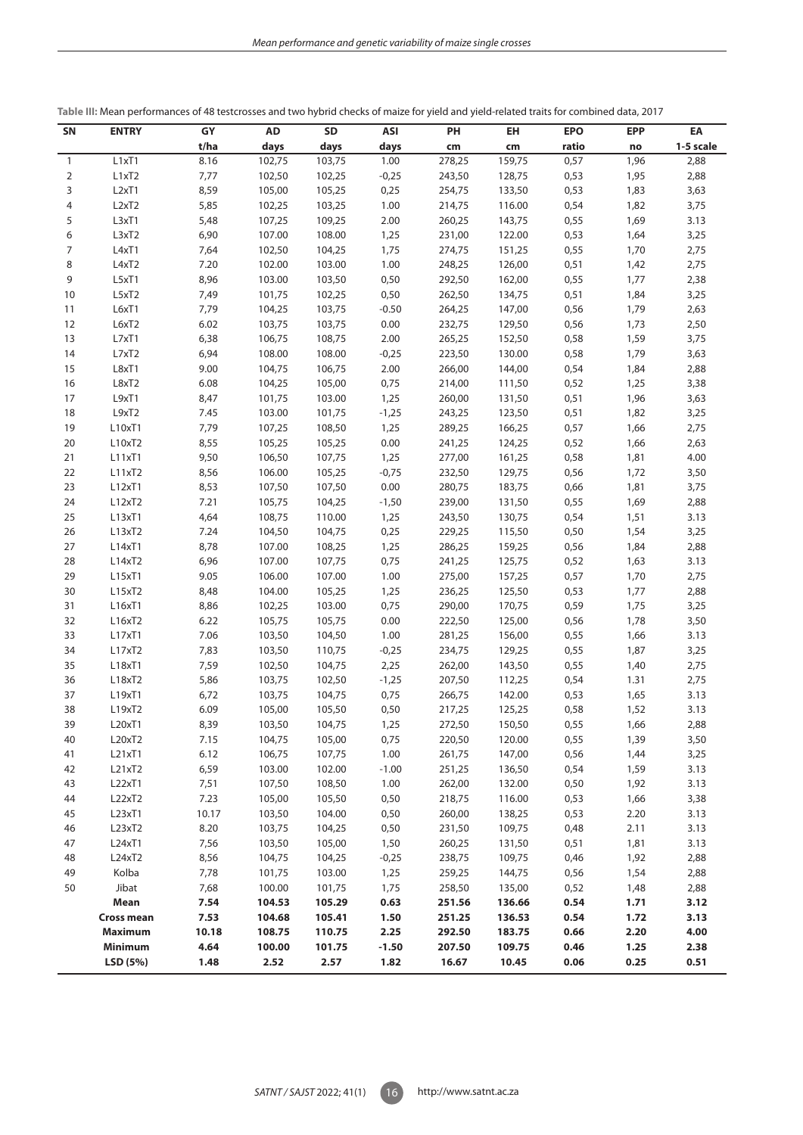| SN           | <b>ENTRY</b>                   | GY    | <b>AD</b> | <b>SD</b> | ASI     | PH     | <b>EH</b> | <b>EPO</b> | <b>EPP</b> | EA        |
|--------------|--------------------------------|-------|-----------|-----------|---------|--------|-----------|------------|------------|-----------|
|              |                                | t/ha  | days      | days      | days    | cm     | cm        | ratio      | no         | 1-5 scale |
| $\mathbf{1}$ | L1xT1                          | 8.16  | 102,75    | 103,75    | 1.00    | 278,25 | 159,75    | 0,57       | 1,96       | 2,88      |
| 2            | L1xT2                          | 7,77  | 102,50    | 102,25    | $-0,25$ | 243,50 | 128,75    | 0,53       | 1,95       | 2,88      |
| 3            | L <sub>2x</sub> T <sub>1</sub> | 8,59  | 105,00    | 105,25    | 0,25    | 254,75 | 133,50    | 0,53       | 1,83       | 3,63      |
| 4            | L <sub>2x</sub> T <sub>2</sub> | 5,85  | 102,25    | 103,25    | 1.00    | 214,75 | 116.00    | 0,54       | 1,82       | 3,75      |
| 5            | L3xT1                          | 5,48  | 107,25    | 109,25    | 2.00    | 260,25 | 143,75    | 0,55       | 1,69       | 3.13      |
| 6            | L3xT2                          | 6,90  | 107.00    | 108.00    | 1,25    | 231,00 | 122.00    | 0,53       | 1,64       | 3,25      |
| 7            | L4xT1                          | 7,64  | 102,50    | 104,25    | 1,75    | 274,75 | 151,25    | 0,55       | 1,70       | 2,75      |
| 8            | L4xT2                          | 7.20  | 102.00    | 103.00    | 1.00    | 248,25 | 126,00    | 0,51       | 1,42       | 2,75      |
| 9            | L5xT1                          | 8,96  | 103.00    | 103,50    | 0,50    | 292,50 | 162,00    | 0,55       | 1,77       | 2,38      |
| 10           | L5xT2                          | 7,49  | 101,75    | 102,25    | 0,50    | 262,50 | 134,75    | 0,51       | 1,84       | 3,25      |
| 11           | L6xT1                          | 7,79  | 104,25    | 103,75    | $-0.50$ | 264,25 | 147,00    | 0,56       | 1,79       | 2,63      |
| 12           | L6xT2                          | 6.02  | 103,75    | 103,75    | 0.00    | 232,75 | 129,50    | 0,56       | 1,73       | 2,50      |
| 13           | L7xT1                          | 6,38  | 106,75    | 108,75    | 2.00    | 265,25 | 152,50    | 0,58       | 1,59       | 3,75      |
| 14           | L7xT2                          | 6,94  | 108.00    | 108.00    | $-0,25$ | 223,50 | 130.00    | 0,58       | 1,79       | 3,63      |
| 15           | L8xT1                          | 9.00  | 104,75    | 106,75    | 2.00    | 266,00 | 144,00    | 0,54       | 1,84       | 2,88      |
| 16           | L8xT2                          | 6.08  | 104,25    | 105,00    | 0,75    | 214,00 | 111,50    | 0,52       | 1,25       | 3,38      |
| 17           | L9xT1                          | 8,47  | 101,75    | 103.00    | 1,25    | 260,00 | 131,50    | 0,51       | 1,96       | 3,63      |
| 18           | L9xT2                          | 7.45  | 103.00    | 101,75    | $-1,25$ | 243,25 | 123,50    | 0,51       | 1,82       | 3,25      |
| 19           | L10xT1                         | 7,79  | 107,25    | 108,50    | 1,25    | 289,25 | 166,25    | 0,57       | 1,66       | 2,75      |
| 20           | L10xT2                         | 8,55  | 105,25    | 105,25    | 0.00    | 241,25 | 124,25    | 0,52       | 1,66       | 2,63      |
| 21           | L11xT1                         | 9,50  | 106,50    | 107,75    | 1,25    | 277,00 | 161,25    | 0,58       | 1,81       | 4.00      |
| 22           | L11xT2                         | 8,56  | 106.00    | 105,25    | $-0,75$ | 232,50 | 129,75    | 0,56       | 1,72       | 3,50      |
| 23           | L12xT1                         | 8,53  | 107,50    | 107,50    | 0.00    | 280,75 | 183,75    | 0,66       | 1,81       | 3,75      |
| 24           | L12xT2                         | 7.21  | 105,75    | 104,25    | $-1,50$ | 239,00 | 131,50    | 0,55       | 1,69       | 2,88      |
| 25           | L13xT1                         | 4,64  | 108,75    | 110.00    | 1,25    | 243,50 | 130,75    | 0,54       | 1,51       | 3.13      |
| 26           | L13xT2                         | 7.24  | 104,50    | 104,75    | 0,25    | 229,25 | 115,50    | 0,50       | 1,54       | 3,25      |
| 27           | L14xT1                         | 8,78  | 107.00    | 108,25    | 1,25    | 286,25 | 159,25    | 0,56       | 1,84       | 2,88      |
| 28           | L14xT2                         | 6,96  | 107.00    | 107,75    | 0,75    | 241,25 | 125,75    | 0,52       | 1,63       | 3.13      |
| 29           | L15xT1                         | 9.05  | 106.00    | 107.00    | 1.00    | 275,00 | 157,25    | 0,57       | 1,70       | 2,75      |
| 30           | L15xT2                         | 8,48  | 104.00    | 105,25    | 1,25    | 236,25 | 125,50    | 0,53       | 1,77       | 2,88      |
| 31           | L16xT1                         | 8,86  | 102,25    | 103.00    | 0,75    | 290,00 | 170,75    | 0,59       | 1,75       | 3,25      |
| 32           | L16xT2                         | 6.22  | 105,75    | 105,75    | 0.00    | 222,50 | 125,00    | 0,56       | 1,78       | 3,50      |
| 33           | L17xT1                         | 7.06  | 103,50    | 104,50    | 1.00    | 281,25 | 156,00    | 0,55       | 1,66       | 3.13      |
| 34           | L17xT2                         | 7,83  | 103,50    | 110,75    | $-0,25$ | 234,75 | 129,25    | 0,55       | 1,87       | 3,25      |
| 35           | L18xT1                         | 7,59  | 102,50    | 104,75    | 2,25    | 262,00 | 143,50    | 0,55       | 1,40       | 2,75      |
| 36           | L18xT2                         | 5,86  | 103,75    | 102,50    | $-1,25$ | 207,50 | 112,25    | 0,54       | 1.31       | 2,75      |
| 37           | L19xT1                         | 6,72  | 103,75    | 104,75    | 0,75    | 266,75 | 142.00    | 0,53       | 1,65       | 3.13      |
| 38           | L19xT2                         | 6.09  | 105,00    | 105,50    | 0,50    | 217,25 | 125,25    | 0,58       | 1,52       | 3.13      |
| 39           | L20xT1                         | 8,39  | 103,50    | 104,75    | 1,25    | 272,50 | 150,50    | 0,55       | 1,66       | 2,88      |
| 40           | L20xT2                         | 7.15  | 104,75    | 105,00    | 0,75    | 220,50 | 120.00    | 0,55       | 1,39       | 3,50      |
| 41           | L21xT1                         | 6.12  | 106,75    | 107,75    | 1.00    | 261,75 | 147,00    | 0,56       | 1,44       | 3,25      |
| 42           | L21xT2                         | 6,59  | 103.00    | 102.00    | $-1.00$ | 251,25 | 136,50    | 0,54       | 1,59       | 3.13      |
| 43           | L22xT1                         | 7,51  | 107,50    | 108,50    | 1.00    | 262,00 | 132.00    | 0,50       | 1,92       | 3.13      |
| 44           | L22xT2                         | 7.23  | 105,00    | 105,50    | 0,50    | 218,75 | 116.00    | 0,53       | 1,66       | 3,38      |
| 45           | L23xT1                         | 10.17 | 103,50    | 104.00    | 0,50    | 260,00 | 138,25    | 0,53       | 2.20       | 3.13      |
| 46           | L23xT2                         | 8.20  | 103,75    | 104,25    | 0,50    | 231,50 | 109,75    | 0,48       | 2.11       | 3.13      |
| 47           | L24xT1                         | 7,56  | 103,50    | 105,00    | 1,50    | 260,25 | 131,50    | 0,51       | 1,81       | 3.13      |
| 48           | L24xT2                         | 8,56  | 104,75    | 104,25    | $-0,25$ | 238,75 | 109,75    | 0,46       | 1,92       | 2,88      |
| 49           | Kolba                          | 7,78  | 101,75    | 103.00    | 1,25    | 259,25 | 144,75    | 0,56       | 1,54       | 2,88      |
| 50           | Jibat                          | 7,68  | 100.00    | 101,75    | 1,75    | 258,50 | 135,00    | 0,52       | 1,48       | 2,88      |
|              | Mean                           | 7.54  | 104.53    | 105.29    | 0.63    | 251.56 | 136.66    | 0.54       | 1.71       | 3.12      |
|              | <b>Cross mean</b>              | 7.53  | 104.68    | 105.41    | 1.50    | 251.25 | 136.53    | 0.54       | 1.72       | 3.13      |
|              | <b>Maximum</b>                 | 10.18 | 108.75    | 110.75    | 2.25    | 292.50 | 183.75    | 0.66       | 2.20       | 4.00      |
|              | <b>Minimum</b>                 | 4.64  | 100.00    | 101.75    | $-1.50$ | 207.50 | 109.75    | 0.46       | 1.25       | 2.38      |
|              | LSD (5%)                       | 1.48  | 2.52      | 2.57      | 1.82    | 16.67  | 10.45     | 0.06       | 0.25       | 0.51      |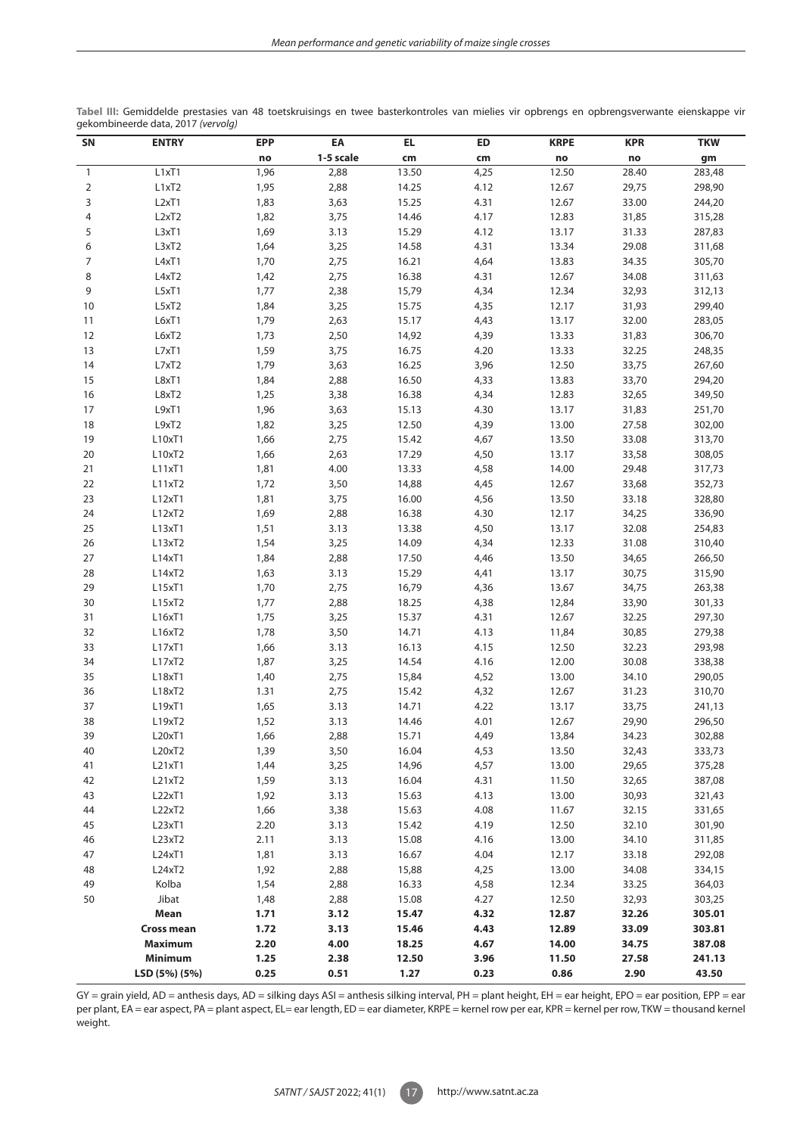| 1-5 scale<br>cm<br>no<br>no<br>cm<br>no<br>gm<br>L1xT1<br>4,25<br>12.50<br>28.40<br>283,48<br>1,96<br>2,88<br>13.50<br>$\mathbf{1}$<br>29,75<br>$\overline{2}$<br>L1xT2<br>1,95<br>2,88<br>14.25<br>4.12<br>12.67<br>298,90<br>3<br>L <sub>2x</sub> T <sub>1</sub><br>3,63<br>15.25<br>4.31<br>12.67<br>1,83<br>33.00<br>244,20<br>4<br>L <sub>2x</sub> T <sub>2</sub><br>1,82<br>3,75<br>14.46<br>4.17<br>12.83<br>31,85<br>315,28<br>5<br>L3xT1<br>1,69<br>3.13<br>15.29<br>4.12<br>13.17<br>31.33<br>287,83<br>L3xT2<br>1,64<br>14.58<br>4.31<br>6<br>3,25<br>13.34<br>29.08<br>311,68<br>L4xT1<br>1,70<br>2,75<br>16.21<br>4,64<br>13.83<br>34.35<br>305,70<br>7<br>8<br>L4xT2<br>2,75<br>16.38<br>4.31<br>12.67<br>34.08<br>311,63<br>1,42<br>15,79<br>9<br>L5xT1<br>1,77<br>2,38<br>4,34<br>12.34<br>32,93<br>312,13<br>10<br>L5xT2<br>1,84<br>3,25<br>15.75<br>4,35<br>12.17<br>31,93<br>299,40<br>L6xT1<br>1,79<br>2,63<br>15.17<br>4,43<br>13.17<br>32.00<br>283,05<br>11<br>L6xT2<br>1,73<br>2,50<br>4,39<br>13.33<br>31,83<br>306,70<br>12<br>14,92<br>13<br>L7xT1<br>1,59<br>3,75<br>16.75<br>4.20<br>13.33<br>32.25<br>248,35<br>L7xT2<br>1,79<br>3,63<br>16.25<br>3,96<br>12.50<br>33,75<br>267,60<br>14<br>15<br>L8xT1<br>2,88<br>16.50<br>4,33<br>13.83<br>33,70<br>294,20<br>1,84<br>16<br>L8xT2<br>1,25<br>3,38<br>16.38<br>4,34<br>12.83<br>32,65<br>349,50<br>17<br>L9xT1<br>1,96<br>3,63<br>15.13<br>4.30<br>13.17<br>31,83<br>251,70<br>L9xT2<br>1,82<br>4,39<br>302,00<br>18<br>3,25<br>12.50<br>13.00<br>27.58<br>19<br>L10xT1<br>1,66<br>2,75<br>15.42<br>4,67<br>13.50<br>33.08<br>313,70<br>L10xT2<br>2,63<br>17.29<br>4,50<br>13.17<br>33,58<br>308,05<br>20<br>1,66<br>L11xT1<br>4.00<br>13.33<br>4,58<br>14.00<br>21<br>1,81<br>29.48<br>317,73<br>22<br>L11xT2<br>1,72<br>3,50<br>14,88<br>4,45<br>12.67<br>33,68<br>352,73<br>23<br>L12xT1<br>1,81<br>3,75<br>16.00<br>4,56<br>13.50<br>33.18<br>328,80<br>24<br>L12xT2<br>1,69<br>2,88<br>16.38<br>4.30<br>12.17<br>34,25<br>336,90<br>25<br>L13xT1<br>3.13<br>13.38<br>4,50<br>13.17<br>32.08<br>254,83<br>1,51<br>26<br>L13xT2<br>3,25<br>14.09<br>4,34<br>12.33<br>31.08<br>310,40<br>1,54<br>L14xT1<br>13.50<br>27<br>1,84<br>2,88<br>17.50<br>4,46<br>34,65<br>266,50<br>L14xT2<br>3.13<br>15.29<br>13.17<br>30,75<br>28<br>1,63<br>4,41<br>315,90<br>29<br>L15xT1<br>1,70<br>2,75<br>16,79<br>4,36<br>13.67<br>34,75<br>263,38<br>L15xT2<br>2,88<br>18.25<br>4,38<br>12,84<br>301,33<br>30<br>1,77<br>33,90<br>L16xT1<br>1,75<br>3,25<br>15.37<br>4.31<br>12.67<br>32.25<br>297,30<br>31<br>L16xT2<br>1,78<br>3,50<br>14.71<br>4.13<br>11,84<br>30,85<br>279,38<br>32<br>33<br>L17xT1<br>3.13<br>16.13<br>4.15<br>1,66<br>12.50<br>32.23<br>293,98<br>34<br>L17xT2<br>3,25<br>14.54<br>4.16<br>12.00<br>30.08<br>1,87<br>338,38<br>35<br>L18xT1<br>2,75<br>4,52<br>13.00<br>34.10<br>290,05<br>1,40<br>15,84<br>L18xT2<br>1.31<br>2,75<br>4,32<br>31.23<br>310,70<br>36<br>15.42<br>12.67<br>37<br>L19xT1<br>3.13<br>14.71<br>4.22<br>33,75<br>241,13<br>1,65<br>13.17<br>3.13<br>4.01<br>29,90<br>38<br>L19xT2<br>1,52<br>14.46<br>12.67<br>296,50<br>39<br>L20xT1<br>1,66<br>2,88<br>15.71<br>4,49<br>13,84<br>34.23<br>302,88<br>40<br>L20xT2<br>1,39<br>3,50<br>16.04<br>4,53<br>13.50<br>32,43<br>333,73<br>L21xT1<br>3,25<br>4,57<br>13.00<br>29,65<br>375,28<br>41<br>1,44<br>14,96<br>L21xT2<br>1,59<br>4.31<br>32,65<br>42<br>3.13<br>16.04<br>11.50<br>387,08<br>L22xT1<br>4.13<br>13.00<br>30,93<br>43<br>1,92<br>3.13<br>15.63<br>321,43<br>L22xT2<br>4.08<br>44<br>1,66<br>3,38<br>15.63<br>11.67<br>32.15<br>331,65<br>L23xT1<br>4.19<br>45<br>2.20<br>3.13<br>15.42<br>12.50<br>32.10<br>301,90<br>L23xT2<br>4.16<br>13.00<br>46<br>2.11<br>3.13<br>15.08<br>34.10<br>311,85<br>L24xT1<br>4.04<br>47<br>1,81<br>3.13<br>16.67<br>12.17<br>33.18<br>292,08<br>L24xT2<br>4,25<br>48<br>1,92<br>2,88<br>15,88<br>13.00<br>34.08<br>334,15<br>Kolba<br>4,58<br>49<br>1,54<br>2,88<br>16.33<br>12.34<br>33.25<br>364,03<br>Jibat<br>4.27<br>50<br>2,88<br>15.08<br>12.50<br>32,93<br>303,25<br>1,48<br>Mean<br>4.32<br>1.71<br>3.12<br>15.47<br>12.87<br>32.26<br>305.01<br><b>Cross mean</b><br>4.43<br>12.89<br>1.72<br>3.13<br>15.46<br>33.09<br>303.81<br>4.00<br>4.67<br>14.00<br>34.75<br>Maximum<br>2.20<br>18.25<br>387.08<br>Minimum<br>1.25<br>2.38<br>12.50<br>3.96<br>11.50<br>27.58<br>241.13<br>LSD (5%) (5%)<br>0.25<br>0.51<br>1.27<br>0.23<br>0.86<br>2.90<br>43.50 | SN | <b>ENTRY</b> | <b>EPP</b> | EA | EL | <b>ED</b> | <b>KRPE</b> | <b>KPR</b> | <b>TKW</b> |
|---------------------------------------------------------------------------------------------------------------------------------------------------------------------------------------------------------------------------------------------------------------------------------------------------------------------------------------------------------------------------------------------------------------------------------------------------------------------------------------------------------------------------------------------------------------------------------------------------------------------------------------------------------------------------------------------------------------------------------------------------------------------------------------------------------------------------------------------------------------------------------------------------------------------------------------------------------------------------------------------------------------------------------------------------------------------------------------------------------------------------------------------------------------------------------------------------------------------------------------------------------------------------------------------------------------------------------------------------------------------------------------------------------------------------------------------------------------------------------------------------------------------------------------------------------------------------------------------------------------------------------------------------------------------------------------------------------------------------------------------------------------------------------------------------------------------------------------------------------------------------------------------------------------------------------------------------------------------------------------------------------------------------------------------------------------------------------------------------------------------------------------------------------------------------------------------------------------------------------------------------------------------------------------------------------------------------------------------------------------------------------------------------------------------------------------------------------------------------------------------------------------------------------------------------------------------------------------------------------------------------------------------------------------------------------------------------------------------------------------------------------------------------------------------------------------------------------------------------------------------------------------------------------------------------------------------------------------------------------------------------------------------------------------------------------------------------------------------------------------------------------------------------------------------------------------------------------------------------------------------------------------------------------------------------------------------------------------------------------------------------------------------------------------------------------------------------------------------------------------------------------------------------------------------------------------------------------------------------------------------------------------------------------------------------------------------------------------------------------------------------------------------------------------------------------------------------------------------------------------------------------------------------------------------------------------------------------------------------------------------------------------------------------------------------------------------------------------------------------------------------------------------------------------------------------------------------------------------------------------------------------------------------------------------------------------------------------------------------------------------------------------------------------------------------------------------------------------------------------------|----|--------------|------------|----|----|-----------|-------------|------------|------------|
|                                                                                                                                                                                                                                                                                                                                                                                                                                                                                                                                                                                                                                                                                                                                                                                                                                                                                                                                                                                                                                                                                                                                                                                                                                                                                                                                                                                                                                                                                                                                                                                                                                                                                                                                                                                                                                                                                                                                                                                                                                                                                                                                                                                                                                                                                                                                                                                                                                                                                                                                                                                                                                                                                                                                                                                                                                                                                                                                                                                                                                                                                                                                                                                                                                                                                                                                                                                                                                                                                                                                                                                                                                                                                                                                                                                                                                                                                                                                                                                                                                                                                                                                                                                                                                                                                                                                                                                                                                                                                       |    |              |            |    |    |           |             |            |            |
|                                                                                                                                                                                                                                                                                                                                                                                                                                                                                                                                                                                                                                                                                                                                                                                                                                                                                                                                                                                                                                                                                                                                                                                                                                                                                                                                                                                                                                                                                                                                                                                                                                                                                                                                                                                                                                                                                                                                                                                                                                                                                                                                                                                                                                                                                                                                                                                                                                                                                                                                                                                                                                                                                                                                                                                                                                                                                                                                                                                                                                                                                                                                                                                                                                                                                                                                                                                                                                                                                                                                                                                                                                                                                                                                                                                                                                                                                                                                                                                                                                                                                                                                                                                                                                                                                                                                                                                                                                                                                       |    |              |            |    |    |           |             |            |            |
|                                                                                                                                                                                                                                                                                                                                                                                                                                                                                                                                                                                                                                                                                                                                                                                                                                                                                                                                                                                                                                                                                                                                                                                                                                                                                                                                                                                                                                                                                                                                                                                                                                                                                                                                                                                                                                                                                                                                                                                                                                                                                                                                                                                                                                                                                                                                                                                                                                                                                                                                                                                                                                                                                                                                                                                                                                                                                                                                                                                                                                                                                                                                                                                                                                                                                                                                                                                                                                                                                                                                                                                                                                                                                                                                                                                                                                                                                                                                                                                                                                                                                                                                                                                                                                                                                                                                                                                                                                                                                       |    |              |            |    |    |           |             |            |            |
|                                                                                                                                                                                                                                                                                                                                                                                                                                                                                                                                                                                                                                                                                                                                                                                                                                                                                                                                                                                                                                                                                                                                                                                                                                                                                                                                                                                                                                                                                                                                                                                                                                                                                                                                                                                                                                                                                                                                                                                                                                                                                                                                                                                                                                                                                                                                                                                                                                                                                                                                                                                                                                                                                                                                                                                                                                                                                                                                                                                                                                                                                                                                                                                                                                                                                                                                                                                                                                                                                                                                                                                                                                                                                                                                                                                                                                                                                                                                                                                                                                                                                                                                                                                                                                                                                                                                                                                                                                                                                       |    |              |            |    |    |           |             |            |            |
|                                                                                                                                                                                                                                                                                                                                                                                                                                                                                                                                                                                                                                                                                                                                                                                                                                                                                                                                                                                                                                                                                                                                                                                                                                                                                                                                                                                                                                                                                                                                                                                                                                                                                                                                                                                                                                                                                                                                                                                                                                                                                                                                                                                                                                                                                                                                                                                                                                                                                                                                                                                                                                                                                                                                                                                                                                                                                                                                                                                                                                                                                                                                                                                                                                                                                                                                                                                                                                                                                                                                                                                                                                                                                                                                                                                                                                                                                                                                                                                                                                                                                                                                                                                                                                                                                                                                                                                                                                                                                       |    |              |            |    |    |           |             |            |            |
|                                                                                                                                                                                                                                                                                                                                                                                                                                                                                                                                                                                                                                                                                                                                                                                                                                                                                                                                                                                                                                                                                                                                                                                                                                                                                                                                                                                                                                                                                                                                                                                                                                                                                                                                                                                                                                                                                                                                                                                                                                                                                                                                                                                                                                                                                                                                                                                                                                                                                                                                                                                                                                                                                                                                                                                                                                                                                                                                                                                                                                                                                                                                                                                                                                                                                                                                                                                                                                                                                                                                                                                                                                                                                                                                                                                                                                                                                                                                                                                                                                                                                                                                                                                                                                                                                                                                                                                                                                                                                       |    |              |            |    |    |           |             |            |            |
|                                                                                                                                                                                                                                                                                                                                                                                                                                                                                                                                                                                                                                                                                                                                                                                                                                                                                                                                                                                                                                                                                                                                                                                                                                                                                                                                                                                                                                                                                                                                                                                                                                                                                                                                                                                                                                                                                                                                                                                                                                                                                                                                                                                                                                                                                                                                                                                                                                                                                                                                                                                                                                                                                                                                                                                                                                                                                                                                                                                                                                                                                                                                                                                                                                                                                                                                                                                                                                                                                                                                                                                                                                                                                                                                                                                                                                                                                                                                                                                                                                                                                                                                                                                                                                                                                                                                                                                                                                                                                       |    |              |            |    |    |           |             |            |            |
|                                                                                                                                                                                                                                                                                                                                                                                                                                                                                                                                                                                                                                                                                                                                                                                                                                                                                                                                                                                                                                                                                                                                                                                                                                                                                                                                                                                                                                                                                                                                                                                                                                                                                                                                                                                                                                                                                                                                                                                                                                                                                                                                                                                                                                                                                                                                                                                                                                                                                                                                                                                                                                                                                                                                                                                                                                                                                                                                                                                                                                                                                                                                                                                                                                                                                                                                                                                                                                                                                                                                                                                                                                                                                                                                                                                                                                                                                                                                                                                                                                                                                                                                                                                                                                                                                                                                                                                                                                                                                       |    |              |            |    |    |           |             |            |            |
|                                                                                                                                                                                                                                                                                                                                                                                                                                                                                                                                                                                                                                                                                                                                                                                                                                                                                                                                                                                                                                                                                                                                                                                                                                                                                                                                                                                                                                                                                                                                                                                                                                                                                                                                                                                                                                                                                                                                                                                                                                                                                                                                                                                                                                                                                                                                                                                                                                                                                                                                                                                                                                                                                                                                                                                                                                                                                                                                                                                                                                                                                                                                                                                                                                                                                                                                                                                                                                                                                                                                                                                                                                                                                                                                                                                                                                                                                                                                                                                                                                                                                                                                                                                                                                                                                                                                                                                                                                                                                       |    |              |            |    |    |           |             |            |            |
|                                                                                                                                                                                                                                                                                                                                                                                                                                                                                                                                                                                                                                                                                                                                                                                                                                                                                                                                                                                                                                                                                                                                                                                                                                                                                                                                                                                                                                                                                                                                                                                                                                                                                                                                                                                                                                                                                                                                                                                                                                                                                                                                                                                                                                                                                                                                                                                                                                                                                                                                                                                                                                                                                                                                                                                                                                                                                                                                                                                                                                                                                                                                                                                                                                                                                                                                                                                                                                                                                                                                                                                                                                                                                                                                                                                                                                                                                                                                                                                                                                                                                                                                                                                                                                                                                                                                                                                                                                                                                       |    |              |            |    |    |           |             |            |            |
|                                                                                                                                                                                                                                                                                                                                                                                                                                                                                                                                                                                                                                                                                                                                                                                                                                                                                                                                                                                                                                                                                                                                                                                                                                                                                                                                                                                                                                                                                                                                                                                                                                                                                                                                                                                                                                                                                                                                                                                                                                                                                                                                                                                                                                                                                                                                                                                                                                                                                                                                                                                                                                                                                                                                                                                                                                                                                                                                                                                                                                                                                                                                                                                                                                                                                                                                                                                                                                                                                                                                                                                                                                                                                                                                                                                                                                                                                                                                                                                                                                                                                                                                                                                                                                                                                                                                                                                                                                                                                       |    |              |            |    |    |           |             |            |            |
|                                                                                                                                                                                                                                                                                                                                                                                                                                                                                                                                                                                                                                                                                                                                                                                                                                                                                                                                                                                                                                                                                                                                                                                                                                                                                                                                                                                                                                                                                                                                                                                                                                                                                                                                                                                                                                                                                                                                                                                                                                                                                                                                                                                                                                                                                                                                                                                                                                                                                                                                                                                                                                                                                                                                                                                                                                                                                                                                                                                                                                                                                                                                                                                                                                                                                                                                                                                                                                                                                                                                                                                                                                                                                                                                                                                                                                                                                                                                                                                                                                                                                                                                                                                                                                                                                                                                                                                                                                                                                       |    |              |            |    |    |           |             |            |            |
|                                                                                                                                                                                                                                                                                                                                                                                                                                                                                                                                                                                                                                                                                                                                                                                                                                                                                                                                                                                                                                                                                                                                                                                                                                                                                                                                                                                                                                                                                                                                                                                                                                                                                                                                                                                                                                                                                                                                                                                                                                                                                                                                                                                                                                                                                                                                                                                                                                                                                                                                                                                                                                                                                                                                                                                                                                                                                                                                                                                                                                                                                                                                                                                                                                                                                                                                                                                                                                                                                                                                                                                                                                                                                                                                                                                                                                                                                                                                                                                                                                                                                                                                                                                                                                                                                                                                                                                                                                                                                       |    |              |            |    |    |           |             |            |            |
|                                                                                                                                                                                                                                                                                                                                                                                                                                                                                                                                                                                                                                                                                                                                                                                                                                                                                                                                                                                                                                                                                                                                                                                                                                                                                                                                                                                                                                                                                                                                                                                                                                                                                                                                                                                                                                                                                                                                                                                                                                                                                                                                                                                                                                                                                                                                                                                                                                                                                                                                                                                                                                                                                                                                                                                                                                                                                                                                                                                                                                                                                                                                                                                                                                                                                                                                                                                                                                                                                                                                                                                                                                                                                                                                                                                                                                                                                                                                                                                                                                                                                                                                                                                                                                                                                                                                                                                                                                                                                       |    |              |            |    |    |           |             |            |            |
|                                                                                                                                                                                                                                                                                                                                                                                                                                                                                                                                                                                                                                                                                                                                                                                                                                                                                                                                                                                                                                                                                                                                                                                                                                                                                                                                                                                                                                                                                                                                                                                                                                                                                                                                                                                                                                                                                                                                                                                                                                                                                                                                                                                                                                                                                                                                                                                                                                                                                                                                                                                                                                                                                                                                                                                                                                                                                                                                                                                                                                                                                                                                                                                                                                                                                                                                                                                                                                                                                                                                                                                                                                                                                                                                                                                                                                                                                                                                                                                                                                                                                                                                                                                                                                                                                                                                                                                                                                                                                       |    |              |            |    |    |           |             |            |            |
|                                                                                                                                                                                                                                                                                                                                                                                                                                                                                                                                                                                                                                                                                                                                                                                                                                                                                                                                                                                                                                                                                                                                                                                                                                                                                                                                                                                                                                                                                                                                                                                                                                                                                                                                                                                                                                                                                                                                                                                                                                                                                                                                                                                                                                                                                                                                                                                                                                                                                                                                                                                                                                                                                                                                                                                                                                                                                                                                                                                                                                                                                                                                                                                                                                                                                                                                                                                                                                                                                                                                                                                                                                                                                                                                                                                                                                                                                                                                                                                                                                                                                                                                                                                                                                                                                                                                                                                                                                                                                       |    |              |            |    |    |           |             |            |            |
|                                                                                                                                                                                                                                                                                                                                                                                                                                                                                                                                                                                                                                                                                                                                                                                                                                                                                                                                                                                                                                                                                                                                                                                                                                                                                                                                                                                                                                                                                                                                                                                                                                                                                                                                                                                                                                                                                                                                                                                                                                                                                                                                                                                                                                                                                                                                                                                                                                                                                                                                                                                                                                                                                                                                                                                                                                                                                                                                                                                                                                                                                                                                                                                                                                                                                                                                                                                                                                                                                                                                                                                                                                                                                                                                                                                                                                                                                                                                                                                                                                                                                                                                                                                                                                                                                                                                                                                                                                                                                       |    |              |            |    |    |           |             |            |            |
|                                                                                                                                                                                                                                                                                                                                                                                                                                                                                                                                                                                                                                                                                                                                                                                                                                                                                                                                                                                                                                                                                                                                                                                                                                                                                                                                                                                                                                                                                                                                                                                                                                                                                                                                                                                                                                                                                                                                                                                                                                                                                                                                                                                                                                                                                                                                                                                                                                                                                                                                                                                                                                                                                                                                                                                                                                                                                                                                                                                                                                                                                                                                                                                                                                                                                                                                                                                                                                                                                                                                                                                                                                                                                                                                                                                                                                                                                                                                                                                                                                                                                                                                                                                                                                                                                                                                                                                                                                                                                       |    |              |            |    |    |           |             |            |            |
|                                                                                                                                                                                                                                                                                                                                                                                                                                                                                                                                                                                                                                                                                                                                                                                                                                                                                                                                                                                                                                                                                                                                                                                                                                                                                                                                                                                                                                                                                                                                                                                                                                                                                                                                                                                                                                                                                                                                                                                                                                                                                                                                                                                                                                                                                                                                                                                                                                                                                                                                                                                                                                                                                                                                                                                                                                                                                                                                                                                                                                                                                                                                                                                                                                                                                                                                                                                                                                                                                                                                                                                                                                                                                                                                                                                                                                                                                                                                                                                                                                                                                                                                                                                                                                                                                                                                                                                                                                                                                       |    |              |            |    |    |           |             |            |            |
|                                                                                                                                                                                                                                                                                                                                                                                                                                                                                                                                                                                                                                                                                                                                                                                                                                                                                                                                                                                                                                                                                                                                                                                                                                                                                                                                                                                                                                                                                                                                                                                                                                                                                                                                                                                                                                                                                                                                                                                                                                                                                                                                                                                                                                                                                                                                                                                                                                                                                                                                                                                                                                                                                                                                                                                                                                                                                                                                                                                                                                                                                                                                                                                                                                                                                                                                                                                                                                                                                                                                                                                                                                                                                                                                                                                                                                                                                                                                                                                                                                                                                                                                                                                                                                                                                                                                                                                                                                                                                       |    |              |            |    |    |           |             |            |            |
|                                                                                                                                                                                                                                                                                                                                                                                                                                                                                                                                                                                                                                                                                                                                                                                                                                                                                                                                                                                                                                                                                                                                                                                                                                                                                                                                                                                                                                                                                                                                                                                                                                                                                                                                                                                                                                                                                                                                                                                                                                                                                                                                                                                                                                                                                                                                                                                                                                                                                                                                                                                                                                                                                                                                                                                                                                                                                                                                                                                                                                                                                                                                                                                                                                                                                                                                                                                                                                                                                                                                                                                                                                                                                                                                                                                                                                                                                                                                                                                                                                                                                                                                                                                                                                                                                                                                                                                                                                                                                       |    |              |            |    |    |           |             |            |            |
|                                                                                                                                                                                                                                                                                                                                                                                                                                                                                                                                                                                                                                                                                                                                                                                                                                                                                                                                                                                                                                                                                                                                                                                                                                                                                                                                                                                                                                                                                                                                                                                                                                                                                                                                                                                                                                                                                                                                                                                                                                                                                                                                                                                                                                                                                                                                                                                                                                                                                                                                                                                                                                                                                                                                                                                                                                                                                                                                                                                                                                                                                                                                                                                                                                                                                                                                                                                                                                                                                                                                                                                                                                                                                                                                                                                                                                                                                                                                                                                                                                                                                                                                                                                                                                                                                                                                                                                                                                                                                       |    |              |            |    |    |           |             |            |            |
|                                                                                                                                                                                                                                                                                                                                                                                                                                                                                                                                                                                                                                                                                                                                                                                                                                                                                                                                                                                                                                                                                                                                                                                                                                                                                                                                                                                                                                                                                                                                                                                                                                                                                                                                                                                                                                                                                                                                                                                                                                                                                                                                                                                                                                                                                                                                                                                                                                                                                                                                                                                                                                                                                                                                                                                                                                                                                                                                                                                                                                                                                                                                                                                                                                                                                                                                                                                                                                                                                                                                                                                                                                                                                                                                                                                                                                                                                                                                                                                                                                                                                                                                                                                                                                                                                                                                                                                                                                                                                       |    |              |            |    |    |           |             |            |            |
|                                                                                                                                                                                                                                                                                                                                                                                                                                                                                                                                                                                                                                                                                                                                                                                                                                                                                                                                                                                                                                                                                                                                                                                                                                                                                                                                                                                                                                                                                                                                                                                                                                                                                                                                                                                                                                                                                                                                                                                                                                                                                                                                                                                                                                                                                                                                                                                                                                                                                                                                                                                                                                                                                                                                                                                                                                                                                                                                                                                                                                                                                                                                                                                                                                                                                                                                                                                                                                                                                                                                                                                                                                                                                                                                                                                                                                                                                                                                                                                                                                                                                                                                                                                                                                                                                                                                                                                                                                                                                       |    |              |            |    |    |           |             |            |            |
|                                                                                                                                                                                                                                                                                                                                                                                                                                                                                                                                                                                                                                                                                                                                                                                                                                                                                                                                                                                                                                                                                                                                                                                                                                                                                                                                                                                                                                                                                                                                                                                                                                                                                                                                                                                                                                                                                                                                                                                                                                                                                                                                                                                                                                                                                                                                                                                                                                                                                                                                                                                                                                                                                                                                                                                                                                                                                                                                                                                                                                                                                                                                                                                                                                                                                                                                                                                                                                                                                                                                                                                                                                                                                                                                                                                                                                                                                                                                                                                                                                                                                                                                                                                                                                                                                                                                                                                                                                                                                       |    |              |            |    |    |           |             |            |            |
|                                                                                                                                                                                                                                                                                                                                                                                                                                                                                                                                                                                                                                                                                                                                                                                                                                                                                                                                                                                                                                                                                                                                                                                                                                                                                                                                                                                                                                                                                                                                                                                                                                                                                                                                                                                                                                                                                                                                                                                                                                                                                                                                                                                                                                                                                                                                                                                                                                                                                                                                                                                                                                                                                                                                                                                                                                                                                                                                                                                                                                                                                                                                                                                                                                                                                                                                                                                                                                                                                                                                                                                                                                                                                                                                                                                                                                                                                                                                                                                                                                                                                                                                                                                                                                                                                                                                                                                                                                                                                       |    |              |            |    |    |           |             |            |            |
|                                                                                                                                                                                                                                                                                                                                                                                                                                                                                                                                                                                                                                                                                                                                                                                                                                                                                                                                                                                                                                                                                                                                                                                                                                                                                                                                                                                                                                                                                                                                                                                                                                                                                                                                                                                                                                                                                                                                                                                                                                                                                                                                                                                                                                                                                                                                                                                                                                                                                                                                                                                                                                                                                                                                                                                                                                                                                                                                                                                                                                                                                                                                                                                                                                                                                                                                                                                                                                                                                                                                                                                                                                                                                                                                                                                                                                                                                                                                                                                                                                                                                                                                                                                                                                                                                                                                                                                                                                                                                       |    |              |            |    |    |           |             |            |            |
|                                                                                                                                                                                                                                                                                                                                                                                                                                                                                                                                                                                                                                                                                                                                                                                                                                                                                                                                                                                                                                                                                                                                                                                                                                                                                                                                                                                                                                                                                                                                                                                                                                                                                                                                                                                                                                                                                                                                                                                                                                                                                                                                                                                                                                                                                                                                                                                                                                                                                                                                                                                                                                                                                                                                                                                                                                                                                                                                                                                                                                                                                                                                                                                                                                                                                                                                                                                                                                                                                                                                                                                                                                                                                                                                                                                                                                                                                                                                                                                                                                                                                                                                                                                                                                                                                                                                                                                                                                                                                       |    |              |            |    |    |           |             |            |            |
|                                                                                                                                                                                                                                                                                                                                                                                                                                                                                                                                                                                                                                                                                                                                                                                                                                                                                                                                                                                                                                                                                                                                                                                                                                                                                                                                                                                                                                                                                                                                                                                                                                                                                                                                                                                                                                                                                                                                                                                                                                                                                                                                                                                                                                                                                                                                                                                                                                                                                                                                                                                                                                                                                                                                                                                                                                                                                                                                                                                                                                                                                                                                                                                                                                                                                                                                                                                                                                                                                                                                                                                                                                                                                                                                                                                                                                                                                                                                                                                                                                                                                                                                                                                                                                                                                                                                                                                                                                                                                       |    |              |            |    |    |           |             |            |            |
|                                                                                                                                                                                                                                                                                                                                                                                                                                                                                                                                                                                                                                                                                                                                                                                                                                                                                                                                                                                                                                                                                                                                                                                                                                                                                                                                                                                                                                                                                                                                                                                                                                                                                                                                                                                                                                                                                                                                                                                                                                                                                                                                                                                                                                                                                                                                                                                                                                                                                                                                                                                                                                                                                                                                                                                                                                                                                                                                                                                                                                                                                                                                                                                                                                                                                                                                                                                                                                                                                                                                                                                                                                                                                                                                                                                                                                                                                                                                                                                                                                                                                                                                                                                                                                                                                                                                                                                                                                                                                       |    |              |            |    |    |           |             |            |            |
|                                                                                                                                                                                                                                                                                                                                                                                                                                                                                                                                                                                                                                                                                                                                                                                                                                                                                                                                                                                                                                                                                                                                                                                                                                                                                                                                                                                                                                                                                                                                                                                                                                                                                                                                                                                                                                                                                                                                                                                                                                                                                                                                                                                                                                                                                                                                                                                                                                                                                                                                                                                                                                                                                                                                                                                                                                                                                                                                                                                                                                                                                                                                                                                                                                                                                                                                                                                                                                                                                                                                                                                                                                                                                                                                                                                                                                                                                                                                                                                                                                                                                                                                                                                                                                                                                                                                                                                                                                                                                       |    |              |            |    |    |           |             |            |            |
|                                                                                                                                                                                                                                                                                                                                                                                                                                                                                                                                                                                                                                                                                                                                                                                                                                                                                                                                                                                                                                                                                                                                                                                                                                                                                                                                                                                                                                                                                                                                                                                                                                                                                                                                                                                                                                                                                                                                                                                                                                                                                                                                                                                                                                                                                                                                                                                                                                                                                                                                                                                                                                                                                                                                                                                                                                                                                                                                                                                                                                                                                                                                                                                                                                                                                                                                                                                                                                                                                                                                                                                                                                                                                                                                                                                                                                                                                                                                                                                                                                                                                                                                                                                                                                                                                                                                                                                                                                                                                       |    |              |            |    |    |           |             |            |            |
|                                                                                                                                                                                                                                                                                                                                                                                                                                                                                                                                                                                                                                                                                                                                                                                                                                                                                                                                                                                                                                                                                                                                                                                                                                                                                                                                                                                                                                                                                                                                                                                                                                                                                                                                                                                                                                                                                                                                                                                                                                                                                                                                                                                                                                                                                                                                                                                                                                                                                                                                                                                                                                                                                                                                                                                                                                                                                                                                                                                                                                                                                                                                                                                                                                                                                                                                                                                                                                                                                                                                                                                                                                                                                                                                                                                                                                                                                                                                                                                                                                                                                                                                                                                                                                                                                                                                                                                                                                                                                       |    |              |            |    |    |           |             |            |            |
|                                                                                                                                                                                                                                                                                                                                                                                                                                                                                                                                                                                                                                                                                                                                                                                                                                                                                                                                                                                                                                                                                                                                                                                                                                                                                                                                                                                                                                                                                                                                                                                                                                                                                                                                                                                                                                                                                                                                                                                                                                                                                                                                                                                                                                                                                                                                                                                                                                                                                                                                                                                                                                                                                                                                                                                                                                                                                                                                                                                                                                                                                                                                                                                                                                                                                                                                                                                                                                                                                                                                                                                                                                                                                                                                                                                                                                                                                                                                                                                                                                                                                                                                                                                                                                                                                                                                                                                                                                                                                       |    |              |            |    |    |           |             |            |            |
|                                                                                                                                                                                                                                                                                                                                                                                                                                                                                                                                                                                                                                                                                                                                                                                                                                                                                                                                                                                                                                                                                                                                                                                                                                                                                                                                                                                                                                                                                                                                                                                                                                                                                                                                                                                                                                                                                                                                                                                                                                                                                                                                                                                                                                                                                                                                                                                                                                                                                                                                                                                                                                                                                                                                                                                                                                                                                                                                                                                                                                                                                                                                                                                                                                                                                                                                                                                                                                                                                                                                                                                                                                                                                                                                                                                                                                                                                                                                                                                                                                                                                                                                                                                                                                                                                                                                                                                                                                                                                       |    |              |            |    |    |           |             |            |            |
|                                                                                                                                                                                                                                                                                                                                                                                                                                                                                                                                                                                                                                                                                                                                                                                                                                                                                                                                                                                                                                                                                                                                                                                                                                                                                                                                                                                                                                                                                                                                                                                                                                                                                                                                                                                                                                                                                                                                                                                                                                                                                                                                                                                                                                                                                                                                                                                                                                                                                                                                                                                                                                                                                                                                                                                                                                                                                                                                                                                                                                                                                                                                                                                                                                                                                                                                                                                                                                                                                                                                                                                                                                                                                                                                                                                                                                                                                                                                                                                                                                                                                                                                                                                                                                                                                                                                                                                                                                                                                       |    |              |            |    |    |           |             |            |            |
|                                                                                                                                                                                                                                                                                                                                                                                                                                                                                                                                                                                                                                                                                                                                                                                                                                                                                                                                                                                                                                                                                                                                                                                                                                                                                                                                                                                                                                                                                                                                                                                                                                                                                                                                                                                                                                                                                                                                                                                                                                                                                                                                                                                                                                                                                                                                                                                                                                                                                                                                                                                                                                                                                                                                                                                                                                                                                                                                                                                                                                                                                                                                                                                                                                                                                                                                                                                                                                                                                                                                                                                                                                                                                                                                                                                                                                                                                                                                                                                                                                                                                                                                                                                                                                                                                                                                                                                                                                                                                       |    |              |            |    |    |           |             |            |            |
|                                                                                                                                                                                                                                                                                                                                                                                                                                                                                                                                                                                                                                                                                                                                                                                                                                                                                                                                                                                                                                                                                                                                                                                                                                                                                                                                                                                                                                                                                                                                                                                                                                                                                                                                                                                                                                                                                                                                                                                                                                                                                                                                                                                                                                                                                                                                                                                                                                                                                                                                                                                                                                                                                                                                                                                                                                                                                                                                                                                                                                                                                                                                                                                                                                                                                                                                                                                                                                                                                                                                                                                                                                                                                                                                                                                                                                                                                                                                                                                                                                                                                                                                                                                                                                                                                                                                                                                                                                                                                       |    |              |            |    |    |           |             |            |            |
|                                                                                                                                                                                                                                                                                                                                                                                                                                                                                                                                                                                                                                                                                                                                                                                                                                                                                                                                                                                                                                                                                                                                                                                                                                                                                                                                                                                                                                                                                                                                                                                                                                                                                                                                                                                                                                                                                                                                                                                                                                                                                                                                                                                                                                                                                                                                                                                                                                                                                                                                                                                                                                                                                                                                                                                                                                                                                                                                                                                                                                                                                                                                                                                                                                                                                                                                                                                                                                                                                                                                                                                                                                                                                                                                                                                                                                                                                                                                                                                                                                                                                                                                                                                                                                                                                                                                                                                                                                                                                       |    |              |            |    |    |           |             |            |            |
|                                                                                                                                                                                                                                                                                                                                                                                                                                                                                                                                                                                                                                                                                                                                                                                                                                                                                                                                                                                                                                                                                                                                                                                                                                                                                                                                                                                                                                                                                                                                                                                                                                                                                                                                                                                                                                                                                                                                                                                                                                                                                                                                                                                                                                                                                                                                                                                                                                                                                                                                                                                                                                                                                                                                                                                                                                                                                                                                                                                                                                                                                                                                                                                                                                                                                                                                                                                                                                                                                                                                                                                                                                                                                                                                                                                                                                                                                                                                                                                                                                                                                                                                                                                                                                                                                                                                                                                                                                                                                       |    |              |            |    |    |           |             |            |            |
|                                                                                                                                                                                                                                                                                                                                                                                                                                                                                                                                                                                                                                                                                                                                                                                                                                                                                                                                                                                                                                                                                                                                                                                                                                                                                                                                                                                                                                                                                                                                                                                                                                                                                                                                                                                                                                                                                                                                                                                                                                                                                                                                                                                                                                                                                                                                                                                                                                                                                                                                                                                                                                                                                                                                                                                                                                                                                                                                                                                                                                                                                                                                                                                                                                                                                                                                                                                                                                                                                                                                                                                                                                                                                                                                                                                                                                                                                                                                                                                                                                                                                                                                                                                                                                                                                                                                                                                                                                                                                       |    |              |            |    |    |           |             |            |            |
|                                                                                                                                                                                                                                                                                                                                                                                                                                                                                                                                                                                                                                                                                                                                                                                                                                                                                                                                                                                                                                                                                                                                                                                                                                                                                                                                                                                                                                                                                                                                                                                                                                                                                                                                                                                                                                                                                                                                                                                                                                                                                                                                                                                                                                                                                                                                                                                                                                                                                                                                                                                                                                                                                                                                                                                                                                                                                                                                                                                                                                                                                                                                                                                                                                                                                                                                                                                                                                                                                                                                                                                                                                                                                                                                                                                                                                                                                                                                                                                                                                                                                                                                                                                                                                                                                                                                                                                                                                                                                       |    |              |            |    |    |           |             |            |            |
|                                                                                                                                                                                                                                                                                                                                                                                                                                                                                                                                                                                                                                                                                                                                                                                                                                                                                                                                                                                                                                                                                                                                                                                                                                                                                                                                                                                                                                                                                                                                                                                                                                                                                                                                                                                                                                                                                                                                                                                                                                                                                                                                                                                                                                                                                                                                                                                                                                                                                                                                                                                                                                                                                                                                                                                                                                                                                                                                                                                                                                                                                                                                                                                                                                                                                                                                                                                                                                                                                                                                                                                                                                                                                                                                                                                                                                                                                                                                                                                                                                                                                                                                                                                                                                                                                                                                                                                                                                                                                       |    |              |            |    |    |           |             |            |            |
|                                                                                                                                                                                                                                                                                                                                                                                                                                                                                                                                                                                                                                                                                                                                                                                                                                                                                                                                                                                                                                                                                                                                                                                                                                                                                                                                                                                                                                                                                                                                                                                                                                                                                                                                                                                                                                                                                                                                                                                                                                                                                                                                                                                                                                                                                                                                                                                                                                                                                                                                                                                                                                                                                                                                                                                                                                                                                                                                                                                                                                                                                                                                                                                                                                                                                                                                                                                                                                                                                                                                                                                                                                                                                                                                                                                                                                                                                                                                                                                                                                                                                                                                                                                                                                                                                                                                                                                                                                                                                       |    |              |            |    |    |           |             |            |            |
|                                                                                                                                                                                                                                                                                                                                                                                                                                                                                                                                                                                                                                                                                                                                                                                                                                                                                                                                                                                                                                                                                                                                                                                                                                                                                                                                                                                                                                                                                                                                                                                                                                                                                                                                                                                                                                                                                                                                                                                                                                                                                                                                                                                                                                                                                                                                                                                                                                                                                                                                                                                                                                                                                                                                                                                                                                                                                                                                                                                                                                                                                                                                                                                                                                                                                                                                                                                                                                                                                                                                                                                                                                                                                                                                                                                                                                                                                                                                                                                                                                                                                                                                                                                                                                                                                                                                                                                                                                                                                       |    |              |            |    |    |           |             |            |            |
|                                                                                                                                                                                                                                                                                                                                                                                                                                                                                                                                                                                                                                                                                                                                                                                                                                                                                                                                                                                                                                                                                                                                                                                                                                                                                                                                                                                                                                                                                                                                                                                                                                                                                                                                                                                                                                                                                                                                                                                                                                                                                                                                                                                                                                                                                                                                                                                                                                                                                                                                                                                                                                                                                                                                                                                                                                                                                                                                                                                                                                                                                                                                                                                                                                                                                                                                                                                                                                                                                                                                                                                                                                                                                                                                                                                                                                                                                                                                                                                                                                                                                                                                                                                                                                                                                                                                                                                                                                                                                       |    |              |            |    |    |           |             |            |            |
|                                                                                                                                                                                                                                                                                                                                                                                                                                                                                                                                                                                                                                                                                                                                                                                                                                                                                                                                                                                                                                                                                                                                                                                                                                                                                                                                                                                                                                                                                                                                                                                                                                                                                                                                                                                                                                                                                                                                                                                                                                                                                                                                                                                                                                                                                                                                                                                                                                                                                                                                                                                                                                                                                                                                                                                                                                                                                                                                                                                                                                                                                                                                                                                                                                                                                                                                                                                                                                                                                                                                                                                                                                                                                                                                                                                                                                                                                                                                                                                                                                                                                                                                                                                                                                                                                                                                                                                                                                                                                       |    |              |            |    |    |           |             |            |            |
|                                                                                                                                                                                                                                                                                                                                                                                                                                                                                                                                                                                                                                                                                                                                                                                                                                                                                                                                                                                                                                                                                                                                                                                                                                                                                                                                                                                                                                                                                                                                                                                                                                                                                                                                                                                                                                                                                                                                                                                                                                                                                                                                                                                                                                                                                                                                                                                                                                                                                                                                                                                                                                                                                                                                                                                                                                                                                                                                                                                                                                                                                                                                                                                                                                                                                                                                                                                                                                                                                                                                                                                                                                                                                                                                                                                                                                                                                                                                                                                                                                                                                                                                                                                                                                                                                                                                                                                                                                                                                       |    |              |            |    |    |           |             |            |            |
|                                                                                                                                                                                                                                                                                                                                                                                                                                                                                                                                                                                                                                                                                                                                                                                                                                                                                                                                                                                                                                                                                                                                                                                                                                                                                                                                                                                                                                                                                                                                                                                                                                                                                                                                                                                                                                                                                                                                                                                                                                                                                                                                                                                                                                                                                                                                                                                                                                                                                                                                                                                                                                                                                                                                                                                                                                                                                                                                                                                                                                                                                                                                                                                                                                                                                                                                                                                                                                                                                                                                                                                                                                                                                                                                                                                                                                                                                                                                                                                                                                                                                                                                                                                                                                                                                                                                                                                                                                                                                       |    |              |            |    |    |           |             |            |            |
|                                                                                                                                                                                                                                                                                                                                                                                                                                                                                                                                                                                                                                                                                                                                                                                                                                                                                                                                                                                                                                                                                                                                                                                                                                                                                                                                                                                                                                                                                                                                                                                                                                                                                                                                                                                                                                                                                                                                                                                                                                                                                                                                                                                                                                                                                                                                                                                                                                                                                                                                                                                                                                                                                                                                                                                                                                                                                                                                                                                                                                                                                                                                                                                                                                                                                                                                                                                                                                                                                                                                                                                                                                                                                                                                                                                                                                                                                                                                                                                                                                                                                                                                                                                                                                                                                                                                                                                                                                                                                       |    |              |            |    |    |           |             |            |            |
|                                                                                                                                                                                                                                                                                                                                                                                                                                                                                                                                                                                                                                                                                                                                                                                                                                                                                                                                                                                                                                                                                                                                                                                                                                                                                                                                                                                                                                                                                                                                                                                                                                                                                                                                                                                                                                                                                                                                                                                                                                                                                                                                                                                                                                                                                                                                                                                                                                                                                                                                                                                                                                                                                                                                                                                                                                                                                                                                                                                                                                                                                                                                                                                                                                                                                                                                                                                                                                                                                                                                                                                                                                                                                                                                                                                                                                                                                                                                                                                                                                                                                                                                                                                                                                                                                                                                                                                                                                                                                       |    |              |            |    |    |           |             |            |            |
|                                                                                                                                                                                                                                                                                                                                                                                                                                                                                                                                                                                                                                                                                                                                                                                                                                                                                                                                                                                                                                                                                                                                                                                                                                                                                                                                                                                                                                                                                                                                                                                                                                                                                                                                                                                                                                                                                                                                                                                                                                                                                                                                                                                                                                                                                                                                                                                                                                                                                                                                                                                                                                                                                                                                                                                                                                                                                                                                                                                                                                                                                                                                                                                                                                                                                                                                                                                                                                                                                                                                                                                                                                                                                                                                                                                                                                                                                                                                                                                                                                                                                                                                                                                                                                                                                                                                                                                                                                                                                       |    |              |            |    |    |           |             |            |            |
|                                                                                                                                                                                                                                                                                                                                                                                                                                                                                                                                                                                                                                                                                                                                                                                                                                                                                                                                                                                                                                                                                                                                                                                                                                                                                                                                                                                                                                                                                                                                                                                                                                                                                                                                                                                                                                                                                                                                                                                                                                                                                                                                                                                                                                                                                                                                                                                                                                                                                                                                                                                                                                                                                                                                                                                                                                                                                                                                                                                                                                                                                                                                                                                                                                                                                                                                                                                                                                                                                                                                                                                                                                                                                                                                                                                                                                                                                                                                                                                                                                                                                                                                                                                                                                                                                                                                                                                                                                                                                       |    |              |            |    |    |           |             |            |            |
|                                                                                                                                                                                                                                                                                                                                                                                                                                                                                                                                                                                                                                                                                                                                                                                                                                                                                                                                                                                                                                                                                                                                                                                                                                                                                                                                                                                                                                                                                                                                                                                                                                                                                                                                                                                                                                                                                                                                                                                                                                                                                                                                                                                                                                                                                                                                                                                                                                                                                                                                                                                                                                                                                                                                                                                                                                                                                                                                                                                                                                                                                                                                                                                                                                                                                                                                                                                                                                                                                                                                                                                                                                                                                                                                                                                                                                                                                                                                                                                                                                                                                                                                                                                                                                                                                                                                                                                                                                                                                       |    |              |            |    |    |           |             |            |            |
|                                                                                                                                                                                                                                                                                                                                                                                                                                                                                                                                                                                                                                                                                                                                                                                                                                                                                                                                                                                                                                                                                                                                                                                                                                                                                                                                                                                                                                                                                                                                                                                                                                                                                                                                                                                                                                                                                                                                                                                                                                                                                                                                                                                                                                                                                                                                                                                                                                                                                                                                                                                                                                                                                                                                                                                                                                                                                                                                                                                                                                                                                                                                                                                                                                                                                                                                                                                                                                                                                                                                                                                                                                                                                                                                                                                                                                                                                                                                                                                                                                                                                                                                                                                                                                                                                                                                                                                                                                                                                       |    |              |            |    |    |           |             |            |            |

**Tabel III:** Gemiddelde prestasies van 48 toetskruisings en twee basterkontroles van mielies vir opbrengs en opbrengsverwante eienskappe vir gekombineerde data, 2017 *(vervolg)*

GY = grain yield, AD = anthesis days, AD = silking days ASI = anthesis silking interval, PH = plant height, EH = ear height, EPO = ear position, EPP = ear per plant, EA = ear aspect, PA = plant aspect, EL= ear length, ED = ear diameter, KRPE = kernel row per ear, KPR = kernel per row, TKW = thousand kernel weight.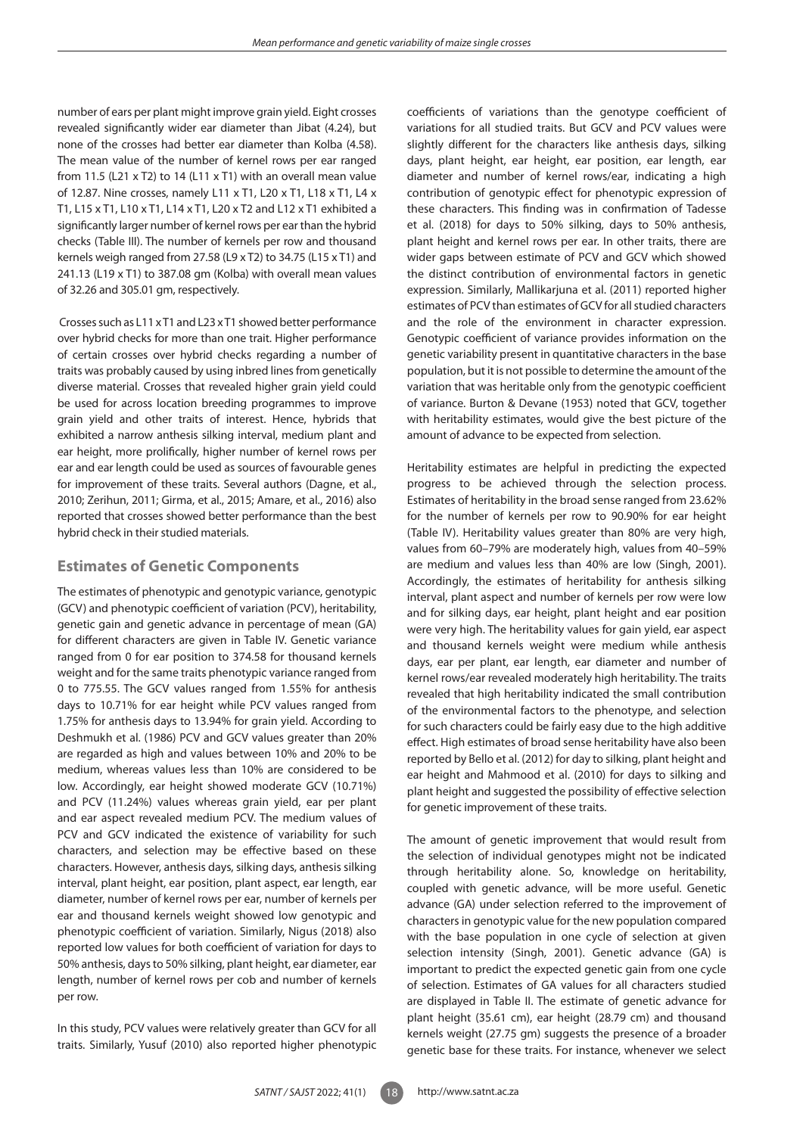number of ears per plant might improve grain yield. Eight crosses revealed significantly wider ear diameter than Jibat (4.24), but none of the crosses had better ear diameter than Kolba (4.58). The mean value of the number of kernel rows per ear ranged from 11.5 (L21 x T2) to 14 (L11 x T1) with an overall mean value of 12.87. Nine crosses, namely L11 x T1, L20 x T1, L18 x T1, L4 x T1, L15 x T1, L10 x T1, L14 x T1, L20 x T2 and L12 x T1 exhibited a significantly larger number of kernel rows per ear than the hybrid checks (Table III). The number of kernels per row and thousand kernels weigh ranged from 27.58 (L9 x T2) to 34.75 (L15 x T1) and 241.13 (L19 x T1) to 387.08 gm (Kolba) with overall mean values of 32.26 and 305.01 gm, respectively.

 Crosses such as L11 x T1 and L23 x T1 showed better performance over hybrid checks for more than one trait. Higher performance of certain crosses over hybrid checks regarding a number of traits was probably caused by using inbred lines from genetically diverse material. Crosses that revealed higher grain yield could be used for across location breeding programmes to improve grain yield and other traits of interest. Hence, hybrids that exhibited a narrow anthesis silking interval, medium plant and ear height, more prolifically, higher number of kernel rows per ear and ear length could be used as sources of favourable genes for improvement of these traits. Several authors (Dagne, et al., 2010; Zerihun, 2011; Girma, et al., 2015; Amare, et al., 2016) also reported that crosses showed better performance than the best hybrid check in their studied materials.

### **Estimates of Genetic Components**

The estimates of phenotypic and genotypic variance, genotypic (GCV) and phenotypic coefficient of variation (PCV), heritability, genetic gain and genetic advance in percentage of mean (GA) for different characters are given in Table IV. Genetic variance ranged from 0 for ear position to 374.58 for thousand kernels weight and for the same traits phenotypic variance ranged from 0 to 775.55. The GCV values ranged from 1.55% for anthesis days to 10.71% for ear height while PCV values ranged from 1.75% for anthesis days to 13.94% for grain yield. According to Deshmukh et al. (1986) PCV and GCV values greater than 20% are regarded as high and values between 10% and 20% to be medium, whereas values less than 10% are considered to be low. Accordingly, ear height showed moderate GCV (10.71%) and PCV (11.24%) values whereas grain yield, ear per plant and ear aspect revealed medium PCV. The medium values of PCV and GCV indicated the existence of variability for such characters, and selection may be effective based on these characters. However, anthesis days, silking days, anthesis silking interval, plant height, ear position, plant aspect, ear length, ear diameter, number of kernel rows per ear, number of kernels per ear and thousand kernels weight showed low genotypic and phenotypic coefficient of variation. Similarly, Nigus (2018) also reported low values for both coefficient of variation for days to 50% anthesis, days to 50% silking, plant height, ear diameter, ear length, number of kernel rows per cob and number of kernels per row.

In this study, PCV values were relatively greater than GCV for all traits. Similarly, Yusuf (2010) also reported higher phenotypic

coefficients of variations than the genotype coefficient of variations for all studied traits. But GCV and PCV values were slightly different for the characters like anthesis days, silking days, plant height, ear height, ear position, ear length, ear diameter and number of kernel rows/ear, indicating a high contribution of genotypic effect for phenotypic expression of these characters. This finding was in confirmation of Tadesse et al. (2018) for days to 50% silking, days to 50% anthesis, plant height and kernel rows per ear. In other traits, there are wider gaps between estimate of PCV and GCV which showed the distinct contribution of environmental factors in genetic expression. Similarly, Mallikarjuna et al. (2011) reported higher estimates of PCV than estimates of GCV for all studied characters and the role of the environment in character expression. Genotypic coefficient of variance provides information on the genetic variability present in quantitative characters in the base population, but it is not possible to determine the amount of the variation that was heritable only from the genotypic coefficient of variance. Burton & Devane (1953) noted that GCV, together with heritability estimates, would give the best picture of the amount of advance to be expected from selection.

Heritability estimates are helpful in predicting the expected progress to be achieved through the selection process. Estimates of heritability in the broad sense ranged from 23.62% for the number of kernels per row to 90.90% for ear height (Table IV). Heritability values greater than 80% are very high, values from 60–79% are moderately high, values from 40–59% are medium and values less than 40% are low (Singh, 2001). Accordingly, the estimates of heritability for anthesis silking interval, plant aspect and number of kernels per row were low and for silking days, ear height, plant height and ear position were very high. The heritability values for gain yield, ear aspect and thousand kernels weight were medium while anthesis days, ear per plant, ear length, ear diameter and number of kernel rows/ear revealed moderately high heritability. The traits revealed that high heritability indicated the small contribution of the environmental factors to the phenotype, and selection for such characters could be fairly easy due to the high additive effect. High estimates of broad sense heritability have also been reported by Bello et al. (2012) for day to silking, plant height and ear height and Mahmood et al. (2010) for days to silking and plant height and suggested the possibility of effective selection for genetic improvement of these traits.

The amount of genetic improvement that would result from the selection of individual genotypes might not be indicated through heritability alone. So, knowledge on heritability, coupled with genetic advance, will be more useful. Genetic advance (GA) under selection referred to the improvement of characters in genotypic value for the new population compared with the base population in one cycle of selection at given selection intensity (Singh, 2001). Genetic advance (GA) is important to predict the expected genetic gain from one cycle of selection. Estimates of GA values for all characters studied are displayed in Table II. The estimate of genetic advance for plant height (35.61 cm), ear height (28.79 cm) and thousand kernels weight (27.75 gm) suggests the presence of a broader genetic base for these traits. For instance, whenever we select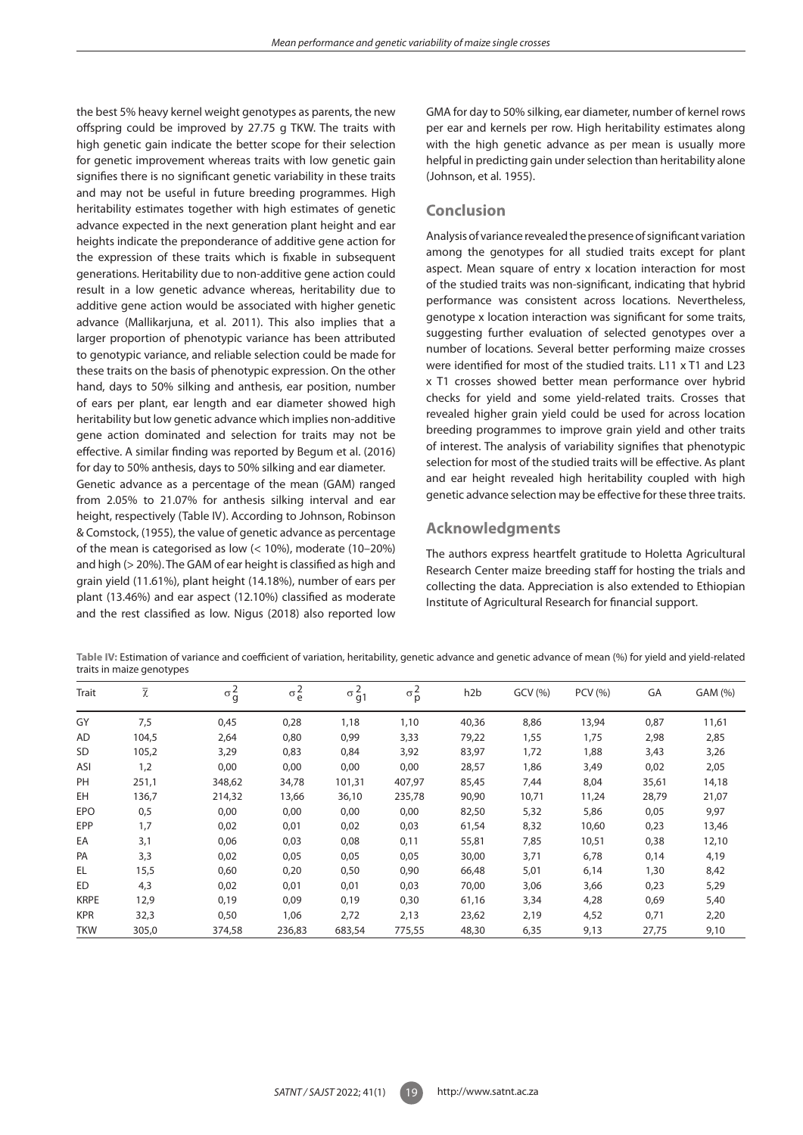the best 5% heavy kernel weight genotypes as parents, the new offspring could be improved by 27.75 g TKW. The traits with high genetic gain indicate the better scope for their selection for genetic improvement whereas traits with low genetic gain signifies there is no significant genetic variability in these traits and may not be useful in future breeding programmes. High heritability estimates together with high estimates of genetic advance expected in the next generation plant height and ear heights indicate the preponderance of additive gene action for the expression of these traits which is fixable in subsequent generations. Heritability due to non-additive gene action could result in a low genetic advance whereas, heritability due to additive gene action would be associated with higher genetic advance (Mallikarjuna, et al. 2011). This also implies that a larger proportion of phenotypic variance has been attributed to genotypic variance, and reliable selection could be made for these traits on the basis of phenotypic expression. On the other hand, days to 50% silking and anthesis, ear position, number of ears per plant, ear length and ear diameter showed high heritability but low genetic advance which implies non-additive gene action dominated and selection for traits may not be effective. A similar finding was reported by Begum et al. (2016) for day to 50% anthesis, days to 50% silking and ear diameter. Genetic advance as a percentage of the mean (GAM) ranged

from 2.05% to 21.07% for anthesis silking interval and ear height, respectively (Table IV). According to Johnson, Robinson & Comstock, (1955), the value of genetic advance as percentage of the mean is categorised as low (< 10%), moderate (10–20%) and high (> 20%). The GAM of ear height is classified as high and grain yield (11.61%), plant height (14.18%), number of ears per plant (13.46%) and ear aspect (12.10%) classified as moderate and the rest classified as low. Nigus (2018) also reported low GMA for day to 50% silking, ear diameter, number of kernel rows per ear and kernels per row. High heritability estimates along with the high genetic advance as per mean is usually more helpful in predicting gain under selection than heritability alone (Johnson, et al*.* 1955).

# **Conclusion**

Analysis of variance revealed the presence of significant variation among the genotypes for all studied traits except for plant aspect. Mean square of entry x location interaction for most of the studied traits was non-significant, indicating that hybrid performance was consistent across locations. Nevertheless, genotype x location interaction was significant for some traits, suggesting further evaluation of selected genotypes over a number of locations. Several better performing maize crosses were identified for most of the studied traits. L11 x T1 and L23 x T1 crosses showed better mean performance over hybrid checks for yield and some yield-related traits. Crosses that revealed higher grain yield could be used for across location breeding programmes to improve grain yield and other traits of interest. The analysis of variability signifies that phenotypic selection for most of the studied traits will be effective. As plant and ear height revealed high heritability coupled with high genetic advance selection may be effective for these three traits.

# **Acknowledgments**

The authors express heartfelt gratitude to Holetta Agricultural Research Center maize breeding staff for hosting the trials and collecting the data. Appreciation is also extended to Ethiopian Institute of Agricultural Research for financial support.

Table IV: Estimation of variance and coefficient of variation, heritability, genetic advance and genetic advance of mean (%) for yield and yield-related traits in maize genotypes

| Trait       | $\overline{\chi}$ | $\sigma_g^2$ | $\sigma_e^2$ | $\sigma$<br>g <sub>1</sub> | $\sigma_p^2$ | h <sub>2</sub> b | GCV (%) | PCV (%) | GA    | GAM (%) |
|-------------|-------------------|--------------|--------------|----------------------------|--------------|------------------|---------|---------|-------|---------|
| GY          | 7,5               | 0,45         | 0,28         | 1,18                       | 1,10         | 40,36            | 8,86    | 13,94   | 0,87  | 11,61   |
| <b>AD</b>   | 104,5             | 2,64         | 0,80         | 0,99                       | 3,33         | 79,22            | 1,55    | 1,75    | 2,98  | 2,85    |
| <b>SD</b>   | 105,2             | 3,29         | 0,83         | 0,84                       | 3,92         | 83,97            | 1,72    | 1,88    | 3,43  | 3,26    |
| ASI         | 1,2               | 0,00         | 0,00         | 0,00                       | 0,00         | 28,57            | 1,86    | 3,49    | 0,02  | 2,05    |
| PH          | 251,1             | 348,62       | 34,78        | 101,31                     | 407,97       | 85,45            | 7,44    | 8,04    | 35,61 | 14,18   |
| EH          | 136,7             | 214,32       | 13,66        | 36,10                      | 235,78       | 90,90            | 10,71   | 11,24   | 28,79 | 21,07   |
| <b>EPO</b>  | 0,5               | 0,00         | 0,00         | 0,00                       | 0,00         | 82,50            | 5,32    | 5,86    | 0,05  | 9,97    |
| EPP         | 1,7               | 0,02         | 0,01         | 0,02                       | 0,03         | 61,54            | 8,32    | 10,60   | 0,23  | 13,46   |
| EA          | 3,1               | 0,06         | 0,03         | 0,08                       | 0,11         | 55,81            | 7,85    | 10,51   | 0,38  | 12,10   |
| PA          | 3,3               | 0,02         | 0,05         | 0,05                       | 0,05         | 30,00            | 3,71    | 6,78    | 0,14  | 4,19    |
| EL          | 15,5              | 0,60         | 0,20         | 0,50                       | 0,90         | 66,48            | 5,01    | 6,14    | 1,30  | 8,42    |
| ED          | 4,3               | 0,02         | 0,01         | 0,01                       | 0,03         | 70,00            | 3,06    | 3,66    | 0,23  | 5,29    |
| <b>KRPE</b> | 12,9              | 0,19         | 0,09         | 0,19                       | 0,30         | 61,16            | 3,34    | 4,28    | 0,69  | 5,40    |
| <b>KPR</b>  | 32,3              | 0,50         | 1,06         | 2,72                       | 2,13         | 23,62            | 2,19    | 4,52    | 0,71  | 2,20    |
| <b>TKW</b>  | 305,0             | 374,58       | 236,83       | 683,54                     | 775,55       | 48,30            | 6,35    | 9,13    | 27,75 | 9,10    |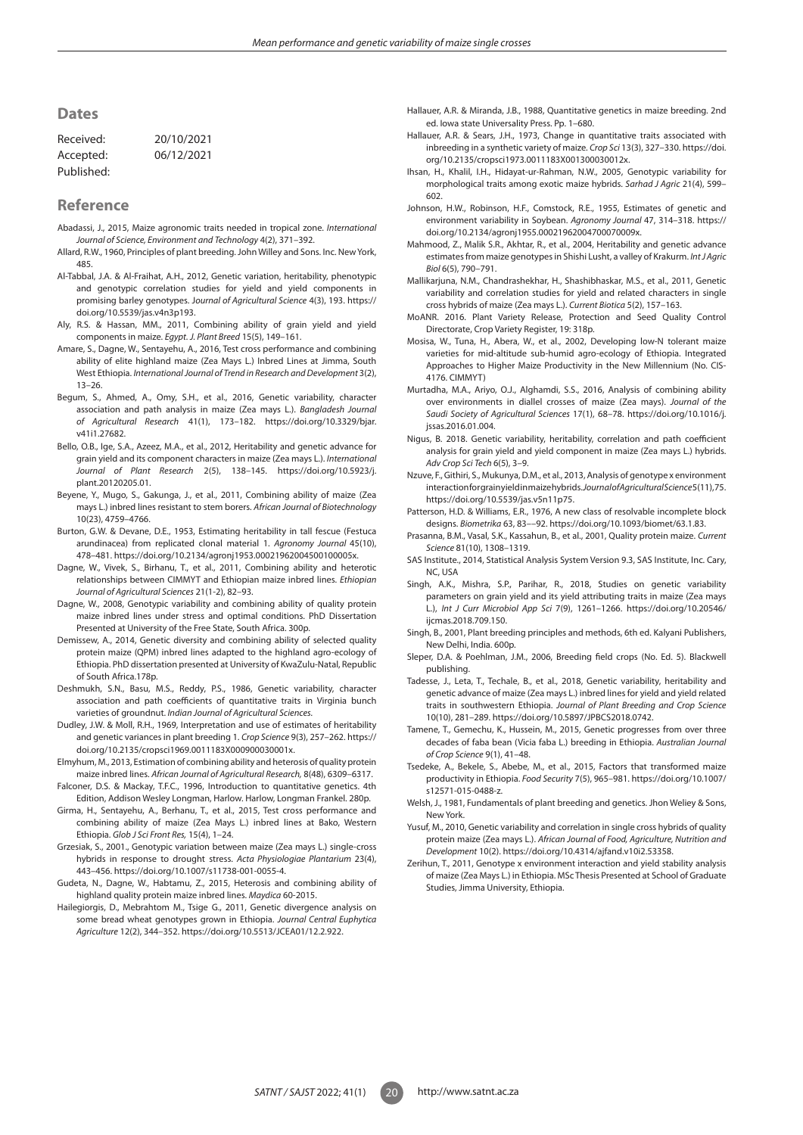### **Dates**

| Received:  | 20/10/2021 |  |  |  |  |
|------------|------------|--|--|--|--|
| Accepted:  | 06/12/2021 |  |  |  |  |
| Published: |            |  |  |  |  |

### **Reference**

- Abadassi, J., 2015, Maize agronomic traits needed in tropical zone. *International Journal of Science, Environment and Technology* 4(2), 371–392.
- Allard, R.W., 1960, Principles of plant breeding. John Willey and Sons. Inc. New York, 485.
- Al-Tabbal, J.A. & Al-Fraihat, A.H., 2012, Genetic variation, heritability, phenotypic and genotypic correlation studies for yield and yield components in promising barley genotypes. J*ournal of Agricultural Science* 4(3), 193. https:// doi.org/10.5539/jas.v4n3p193.
- Aly, R.S. & Hassan, MM., 2011, Combining ability of grain yield and yield components in maize. *Egypt. J. Plant Breed* 15(5), 149–161.
- Amare, S., Dagne, W., Sentayehu, A., 2016, Test cross performance and combining ability of elite highland maize (Zea Mays L.) Inbred Lines at Jimma, South West Ethiopia. *International Journal of Trend in Research and Development* 3(2), 13–26.
- Begum, S., Ahmed, A., Omy, S.H., et al., 2016, Genetic variability, character association and path analysis in maize (Zea mays L.). *Bangladesh Journal of Agricultural Research* 41(1), 173–182. https://doi.org/10.3329/bjar. v41i1.27682.
- Bello, O.B., Ige, S.A., Azeez, M.A., et al., 2012, Heritability and genetic advance for grain yield and its component characters in maize (Zea mays L.). *International Journal of Plant Research* 2(5), 138–145. https://doi.org/10.5923/j. plant.20120205.01.
- Beyene, Y., Mugo, S., Gakunga, J., et al., 2011, Combining ability of maize (Zea mays L.) inbred lines resistant to stem borers. *African Journal of Biotechnology*  10(23), 4759–4766.
- Burton, G.W. & Devane, D.E., 1953, Estimating heritability in tall fescue (Festuca arundinacea) from replicated clonal material 1. *Agronomy Journal* 45(10), 478–481. https://doi.org/10.2134/agronj1953.00021962004500100005x.
- Dagne, W., Vivek, S., Birhanu, T., et al., 2011, Combining ability and heterotic relationships between CIMMYT and Ethiopian maize inbred lines. *Ethiopian Journal of Agricultural Sciences* 21(1-2), 82–93.
- Dagne, W., 2008, Genotypic variability and combining ability of quality protein maize inbred lines under stress and optimal conditions. PhD Dissertation Presented at University of the Free State, South Africa. 300p.
- Demissew, A., 2014, Genetic diversity and combining ability of selected quality protein maize (QPM) inbred lines adapted to the highland agro-ecology of Ethiopia. PhD dissertation presented at University of KwaZulu-Natal, Republic of South Africa.178p.
- Deshmukh, S.N., Basu, M.S., Reddy, P.S., 1986, Genetic variability, character association and path coefficients of quantitative traits in Virginia bunch varieties of groundnut. *Indian Journal of Agricultural Sciences.*
- Dudley, J.W. & Moll, R.H., 1969, Interpretation and use of estimates of heritability and genetic variances in plant breeding 1. *Crop Science* 9(3), 257–262. https:// doi.org/10.2135/cropsci1969.0011183X000900030001x.
- Elmyhum, M., 2013, Estimation of combining ability and heterosis of quality protein maize inbred lines. *African Journal of Agricultural Research,* 8(48), 6309–6317.
- Falconer, D.S. & Mackay, T.F.C., 1996, Introduction to quantitative genetics. 4th Edition, Addison Wesley Longman, Harlow. Harlow, Longman Frankel. 280p.
- Girma, H., Sentayehu, A., Berhanu, T., et al., 2015, Test cross performance and combining ability of maize (Zea Mays L.) inbred lines at Bako, Western Ethiopia. *Glob J Sci Front Res,* 15(4), 1–24.
- Grzesiak, S., 2001., Genotypic variation between maize (Zea mays L.) single-cross hybrids in response to drought stress. *Acta Physiologiae Plantarium* 23(4), 443–456. https://doi.org/10.1007/s11738-001-0055-4.
- Gudeta, N., Dagne, W., Habtamu, Z., 2015, Heterosis and combining ability of highland quality protein maize inbred lines. *Maydica* 60-2015.
- Hailegiorgis, D., Mebrahtom M., Tsige G., 2011, Genetic divergence analysis on some bread wheat genotypes grown in Ethiopia. *Journal Central Euphytica Agriculture* 12(2), 344–352. https://doi.org/10.5513/JCEA01/12.2.922.
- Hallauer, A.R. & Miranda, J.B., 1988, Quantitative genetics in maize breeding. 2nd ed. Iowa state Universality Press. Pp. 1–680.
- Hallauer, A.R. & Sears, J.H., 1973, Change in quantitative traits associated with inbreeding in a synthetic variety of maize. *Crop Sci* 13(3), 327–330. https://doi. org/10.2135/cropsci1973.0011183X001300030012x.
- Ihsan, H., Khalil, I.H., Hidayat-ur-Rahman, N.W., 2005, Genotypic variability for morphological traits among exotic maize hybrids. *Sarhad J Agric* 21(4), 599– 602.
- Johnson, H.W., Robinson, H.F., Comstock, R.E., 1955, Estimates of genetic and environment variability in Soybean. *Agronomy Journal* 47, 314–318. https:// doi.org/10.2134/agronj1955.00021962004700070009x.
- Mahmood, Z., Malik S.R., Akhtar, R., et al., 2004, Heritability and genetic advance estimates from maize genotypes in Shishi Lusht, a valley of Krakurm. *Int J Agric Biol* 6(5), 790–791.
- Mallikarjuna, N.M., Chandrashekhar, H., Shashibhaskar, M.S., et al., 2011, Genetic variability and correlation studies for yield and related characters in single cross hybrids of maize (Zea mays L.). *Current Biotica* 5(2), 157–163.
- MoANR. 2016. Plant Variety Release, Protection and Seed Quality Control Directorate, Crop Variety Register, 19: 318p.
- Mosisa, W., Tuna, H., Abera, W., et al., 2002, Developing low-N tolerant maize varieties for mid-altitude sub-humid agro-ecology of Ethiopia. Integrated Approaches to Higher Maize Productivity in the New Millennium (No. CIS-4176. CIMMYT)
- Murtadha, M.A., Ariyo, O.J., Alghamdi, S.S., 2016, Analysis of combining ability over environments in diallel crosses of maize (Zea mays). *Journal of the Saudi Society of Agricultural Sciences* 17(1), 68–78. https://doi.org/10.1016/j. jssas.2016.01.004.
- Nigus, B. 2018. Genetic variability, heritability, correlation and path coefficient analysis for grain yield and yield component in maize (Zea mays L.) hybrids. *Adv Crop Sci Tech* 6(5), 3–9.
- Nzuve, F., Githiri, S., Mukunya, D.M., et al., 2013, Analysis of genotype x environment interaction for grain yield in maize hybrids. *Journal of Agricultural Science* 5(11), 75. https://doi.org/10.5539/jas.v5n11p75.
- Patterson, H.D. & Williams, E.R., 1976, A new class of resolvable incomplete block designs. *Biometrika* 63, 83––92. https://doi.org/10.1093/biomet/63.1.83.
- Prasanna, B.M., Vasal, S.K., Kassahun, B., et al., 2001, Quality protein maize. *Current Science* 81(10), 1308–1319.
- SAS Institute., 2014, Statistical Analysis System Version 9.3, SAS Institute, Inc. Cary, NC, USA
- Singh, A.K., Mishra, S.P., Parihar, R., 2018, Studies on genetic variability parameters on grain yield and its yield attributing traits in maize (Zea mays L.), *Int J Curr Microbiol App Sci* 7(9), 1261–1266. https://doi.org/10.20546/ ijcmas.2018.709.150.
- Singh, B., 2001, Plant breeding principles and methods, 6th ed. Kalyani Publishers, New Delhi, India. 600p.
- Sleper, D.A. & Poehlman, J.M., 2006, Breeding field crops (No. Ed. 5). Blackwell publishing.
- Tadesse, J., Leta, T., Techale, B., et al., 2018, Genetic variability, heritability and genetic advance of maize (Zea mays L.) inbred lines for yield and yield related traits in southwestern Ethiopia. *Journal of Plant Breeding and Crop Science* 10(10), 281–289. https://doi.org/10.5897/JPBCS2018.0742.
- Tamene, T., Gemechu, K., Hussein, M., 2015, Genetic progresses from over three decades of faba bean (Vicia faba L.) breeding in Ethiopia. *Australian Journal of Crop Science* 9(1), 41–48.
- Tsedeke, A., Bekele, S., Abebe, M., et al., 2015, Factors that transformed maize productivity in Ethiopia. *Food Security* 7(5), 965–981. https://doi.org/10.1007/ s12571-015-0488-z.
- Welsh, J., 1981, Fundamentals of plant breeding and genetics. Jhon Weliey & Sons, New York.
- Yusuf, M., 2010, Genetic variability and correlation in single cross hybrids of quality protein maize (Zea mays L.). *African Journal of Food, Agriculture, Nutrition and Development* 10(2). https://doi.org/10.4314/ajfand.v10i2.53358.
- Zerihun, T., 2011, Genotype x environment interaction and yield stability analysis of maize (Zea Mays L.) in Ethiopia. MSc Thesis Presented at School of Graduate Studies, Jimma University, Ethiopia.